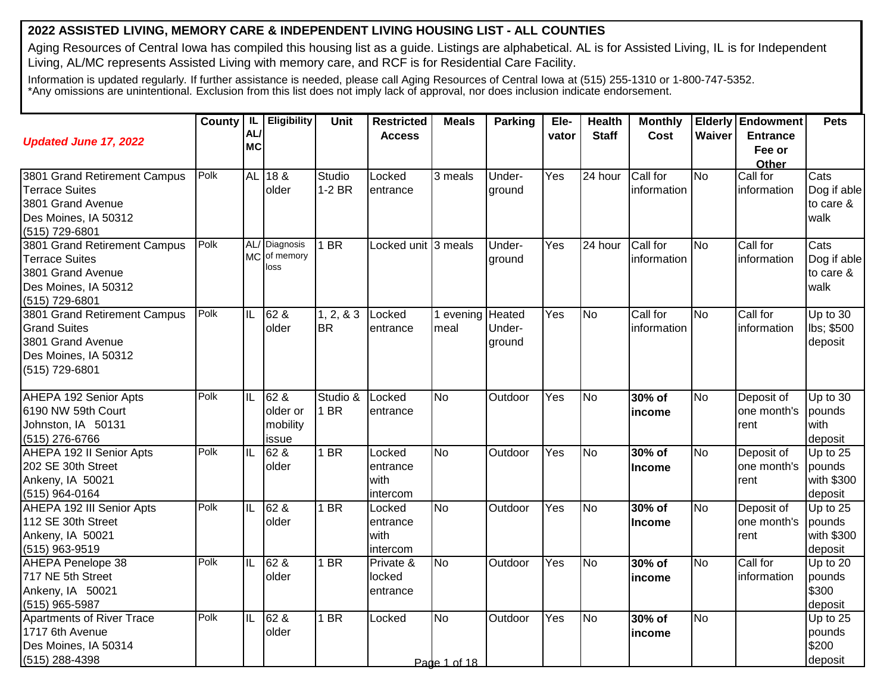## **2022 ASSISTED LIVING, MEMORY CARE & INDEPENDENT LIVING HOUSING LIST - ALL COUNTIES**

Aging Resources of Central Iowa has compiled this housing list as a guide. Listings are alphabetical. AL is for Assisted Living, IL is for Independent Living, AL/MC represents Assisted Living with memory care, and RCF is for Residential Care Facility.

Information is updated regularly. If further assistance is needed, please call Aging Resources of Central Iowa at (515) 255-1310 or 1-800-747-5352. \*Any omissions are unintentional. Exclusion from this list does not imply lack of approval, nor does inclusion indicate endorsement.

|                                                                                                                      | <b>County</b> | <b>IL</b><br>AL/ | Eligibility                           | <b>Unit</b>               | <b>Restricted</b><br><b>Access</b>     | <b>Meals</b>              | <b>Parking</b>             | Ele-<br>vator    | <b>Health</b><br><b>Staff</b> | <b>Monthly</b><br>Cost  | Waiver    | <b>Elderly Endowment</b><br><b>Entrance</b> | <b>Pets</b>                                 |
|----------------------------------------------------------------------------------------------------------------------|---------------|------------------|---------------------------------------|---------------------------|----------------------------------------|---------------------------|----------------------------|------------------|-------------------------------|-------------------------|-----------|---------------------------------------------|---------------------------------------------|
| <b>Updated June 17, 2022</b>                                                                                         |               | <b>MC</b>        |                                       |                           |                                        |                           |                            |                  |                               |                         |           | Fee or<br>Other                             |                                             |
| 3801 Grand Retirement Campus<br><b>Terrace Suites</b><br>3801 Grand Avenue<br>Des Moines, IA 50312<br>(515) 729-6801 | Polk          |                  | AL 18 &<br>older                      | <b>Studio</b><br>$1-2$ BR | Locked<br>entrance                     | 3 meals                   | Under-<br>ground           | Yes              | 24 hour                       | Call for<br>information | <b>No</b> | Call for<br>information                     | Cats<br>Dog if able<br>to care &<br>walk    |
| 3801 Grand Retirement Campus<br><b>Terrace Suites</b><br>3801 Grand Avenue<br>Des Moines, IA 50312<br>(515) 729-6801 | Polk          |                  | AL/ Diagnosis<br>MC of memory<br>loss | $1$ BR                    | Locked unit 3 meals                    |                           | Under-<br>ground           | $\overline{Yes}$ | 24 hour                       | Call for<br>information | <b>No</b> | Call for<br>information                     | Cats<br>Dog if able<br>to care &<br>walk    |
| 3801 Grand Retirement Campus<br><b>Grand Suites</b><br>3801 Grand Avenue<br>Des Moines, IA 50312<br>(515) 729-6801   | Polk          | IL               | 62 &<br>older                         | 1, 2, 8, 3<br><b>BR</b>   | Locked<br>entrance                     | 1 evening<br>meal         | Heated<br>Under-<br>ground | Yes              | <b>No</b>                     | Call for<br>information | No        | Call for<br>information                     | Up to 30<br>lbs; \$500<br>deposit           |
| AHEPA 192 Senior Apts<br>6190 NW 59th Court<br>Johnston, IA 50131<br>(515) 276-6766                                  | Polk          | IL               | 62 &<br>older or<br>mobility<br>issue | Studio &<br>1 BR          | Locked<br>entrance                     | <b>No</b>                 | Outdoor                    | Yes              | <b>No</b>                     | 30% of<br>income        | <b>No</b> | Deposit of<br>one month's<br>rent           | Up to $30$<br>pounds<br>with<br>deposit     |
| <b>AHEPA 192 II Senior Apts</b><br>202 SE 30th Street<br>Ankeny, IA 50021<br>(515) 964-0164                          | Polk          | F                | 62 &<br>older                         | $1$ BR                    | Locked<br>entrance<br>with<br>intercom | <b>No</b>                 | Outdoor                    | Yes              | No                            | 30% of<br>Income        | No        | Deposit of<br>one month's<br>rent           | Up to 25<br>pounds<br>with \$300<br>deposit |
| AHEPA 192 III Senior Apts<br>112 SE 30th Street<br>Ankeny, IA 50021<br>(515) 963-9519                                | Polk          | IL               | 62 &<br>older                         | 1 BR                      | Locked<br>entrance<br>with<br>intercom | <b>No</b>                 | Outdoor                    | Yes              | No                            | 30% of<br>Income        | <b>No</b> | Deposit of<br>one month's<br>rent           | Up to 25<br>pounds<br>with \$300<br>deposit |
| AHEPA Penelope 38<br>717 NE 5th Street<br>Ankeny, IA 50021<br>(515) 965-5987                                         | Polk          | IL               | 62 &<br>older                         | $1$ BR                    | Private &<br>locked<br>entrance        | <b>No</b>                 | Outdoor                    | Yes              | <b>No</b>                     | 30% of<br>income        | <b>No</b> | Call for<br>information                     | Up to 20<br>pounds<br>\$300<br>deposit      |
| <b>Apartments of River Trace</b><br>1717 6th Avenue<br>Des Moines, IA 50314<br>(515) 288-4398                        | Polk          | IL               | 62 &<br>older                         | $1$ BR                    | Locked                                 | <b>No</b><br>Pade 1 of 18 | Outdoor                    | Yes              | <b>No</b>                     | 30% of<br>income        | <b>No</b> |                                             | Up to 25<br>pounds<br>\$200<br>deposit      |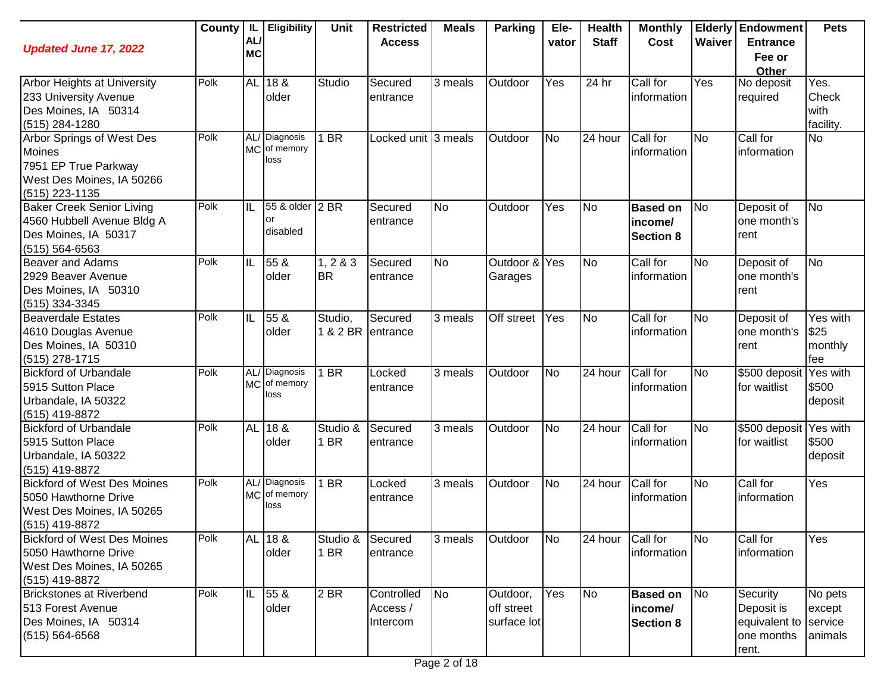| <b>Updated June 17, 2022</b>                                                                                      |      | AL/<br><b>MC</b> | County   IL   Eligibility             | Unit                | <b>Restricted</b><br><b>Access</b> | <b>Meals</b>   | <b>Parking</b>                        | Ele-<br>vator | <b>Health</b><br><b>Staff</b> | <b>Monthly</b><br>Cost                         | Waiver                 | <b>Elderly Endowment</b><br><b>Entrance</b><br>Fee or<br>Other | <b>Pets</b>                             |
|-------------------------------------------------------------------------------------------------------------------|------|------------------|---------------------------------------|---------------------|------------------------------------|----------------|---------------------------------------|---------------|-------------------------------|------------------------------------------------|------------------------|----------------------------------------------------------------|-----------------------------------------|
| <b>Arbor Heights at University</b><br>233 University Avenue<br>Des Moines, IA 50314<br>(515) 284-1280             | Polk |                  | AL 18 &<br>older                      | Studio              | Secured<br>entrance                | 3 meals        | Outdoor                               | Yes           | 24 hr                         | Call for<br>information                        | Yes                    | No deposit<br>required                                         | Yes.<br>Check<br>with<br>facility.      |
| Arbor Springs of West Des<br><b>Moines</b><br>7951 EP True Parkway<br>West Des Moines, IA 50266<br>(515) 223-1135 | Polk |                  | AL/ Diagnosis<br>MC of memory<br>loss | $1$ BR              | Locked unit 3 meals                |                | Outdoor                               | <b>No</b>     | 24 hour                       | Call for<br>information                        | No                     | Call for<br>information                                        | <b>No</b>                               |
| <b>Baker Creek Senior Living</b><br>4560 Hubbell Avenue Bldg A<br>Des Moines, IA 50317<br>$(515) 564 - 6563$      | Polk | IL               | 55 & older 2 BR<br>or<br>disabled     |                     | Secured<br>entrance                | <b>No</b>      | Outdoor                               | Yes           | No                            | <b>Based on</b><br>income/<br><b>Section 8</b> | No                     | Deposit of<br>one month's<br>rent                              | <b>No</b>                               |
| <b>Beaver and Adams</b><br>2929 Beaver Avenue<br>Des Moines, IA 50310<br>(515) 334-3345                           | Polk | IL               | 55 &<br>older                         | 1, 283<br><b>BR</b> | Secured<br>entrance                | <b>No</b>      | Outdoor & Yes<br>Garages              |               | <b>No</b>                     | Call for<br>information                        | <b>No</b>              | Deposit of<br>one month's<br>rent                              | <b>No</b>                               |
| Beaverdale Estates<br>4610 Douglas Avenue<br>Des Moines, IA 50310<br>$(515)$ 278-1715                             | Polk | IL               | 55 &<br>older                         | Studio,<br>1 & 2 BR | Secured<br>entrance                | 3 meals        | Off street                            | Yes           | No                            | Call for<br>information                        | No                     | Deposit of<br>one month's<br>rent                              | Yes with<br>\$25<br>monthly<br>fee      |
| <b>Bickford of Urbandale</b><br>5915 Sutton Place<br>Urbandale, IA 50322<br>(515) 419-8872                        | Polk |                  | AL/ Diagnosis<br>MC of memory<br>loss | 1 BR                | Locked<br>entrance                 | 3 meals        | Outdoor                               | <b>No</b>     | 24 hour                       | Call for<br>information                        | No                     | \$500 deposit Yes with<br>for waitlist                         | \$500<br>deposit                        |
| <b>Bickford of Urbandale</b><br>5915 Sutton Place<br>Urbandale, IA 50322<br>(515) 419-8872                        | Polk |                  | AL 18 &<br>older                      | Studio &<br>1 BR    | Secured<br>entrance                | 3 meals        | Outdoor                               | <b>No</b>     | 24 hour                       | Call for<br>information                        | No                     | \$500 deposit Yes with<br>for waitlist                         | \$500<br>deposit                        |
| <b>Bickford of West Des Moines</b><br>5050 Hawthorne Drive<br>West Des Moines, IA 50265<br>(515) 419-8872         | Polk |                  | AL/ Diagnosis<br>MC of memory<br>loss | $1$ BR              | Locked<br>entrance                 | 3 meals        | Outdoor                               | <b>No</b>     | 24 hour                       | Call for<br>information                        | No                     | Call for<br>information                                        | Yes                                     |
| <b>Bickford of West Des Moines</b><br>5050 Hawthorne Drive<br>West Des Moines, IA 50265<br>(515) 419-8872         | Polk |                  | AL 18 &<br>older                      | Studio &<br>1 BR    | Secured<br>entrance                | 3 meals        | Outdoor                               | <b>No</b>     | 24 hour                       | Call for<br>information                        | $\overline{\text{No}}$ | Call for<br>information                                        | Yes                                     |
| Brickstones at Riverbend<br>513 Forest Avenue<br>Des Moines, IA 50314<br>$(515) 564 - 6568$                       | Polk | IL               | 55 &<br>older                         | 2 BR                | Controlled<br>Access /<br>Intercom | N <sub>o</sub> | Outdoor,<br>off street<br>surface lot | Yes           | No                            | <b>Based on</b><br>income/<br><b>Section 8</b> | No                     | Security<br>Deposit is<br>equivalent to<br>one months<br>rent. | No pets<br>except<br>service<br>animals |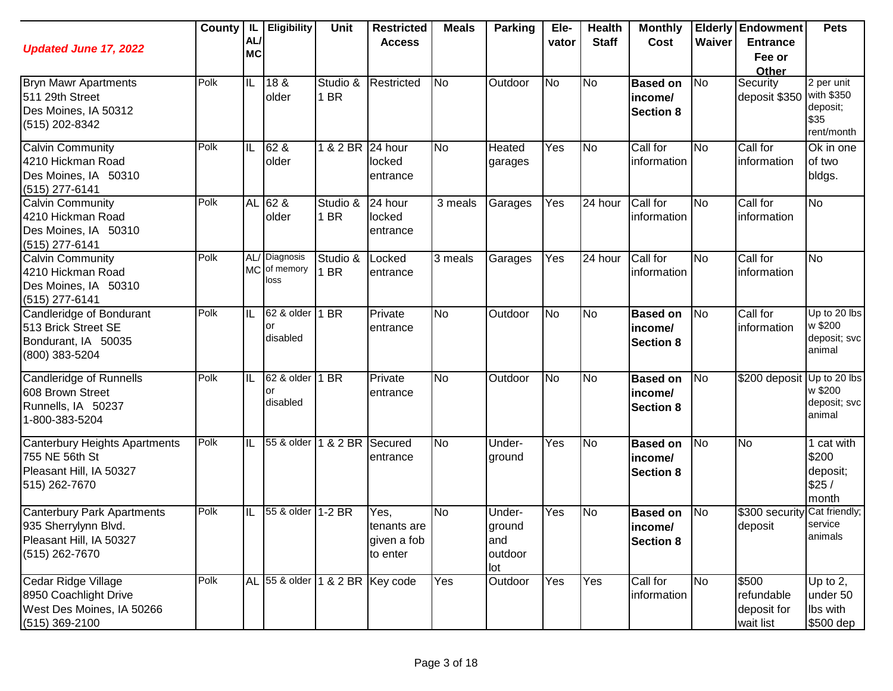| <b>Updated June 17, 2022</b>                                                                    |      | AL/<br><b>MC</b> | County   IL   Eligibility             | Unit             | <b>Restricted</b><br><b>Access</b>              | <b>Meals</b> | <b>Parking</b>                            | Ele-<br>vator | <b>Health</b><br><b>Staff</b> | <b>Monthly</b><br>Cost                         | Waiver    | <b>Elderly Endowment</b><br><b>Entrance</b><br>Fee or<br>Other | <b>Pets</b>                                                |
|-------------------------------------------------------------------------------------------------|------|------------------|---------------------------------------|------------------|-------------------------------------------------|--------------|-------------------------------------------|---------------|-------------------------------|------------------------------------------------|-----------|----------------------------------------------------------------|------------------------------------------------------------|
| <b>Bryn Mawr Apartments</b><br>511 29th Street<br>Des Moines, IA 50312<br>(515) 202-8342        | Polk | IL               | 18 &<br>older                         | Studio &<br>1 BR | Restricted                                      | <b>No</b>    | Outdoor                                   | <b>No</b>     | N <sub>o</sub>                | <b>Based on</b><br>income/<br><b>Section 8</b> | <b>No</b> | Security<br>deposit \$350                                      | 2 per unit<br>with \$350<br>deposit;<br>\$35<br>rent/month |
| Calvin Community<br>4210 Hickman Road<br>Des Moines, IA 50310<br>(515) 277-6141                 | Polk | IL               | 62 &<br>older                         | 1 & 2 BR         | 24 hour<br>locked<br>entrance                   | <b>No</b>    | Heated<br>garages                         | Yes           | No                            | Call for<br>information                        | <b>No</b> | Call for<br>information                                        | Ok in one<br>of two<br>bldgs.                              |
| <b>Calvin Community</b><br>4210 Hickman Road<br>Des Moines, IA 50310<br>(515) 277-6141          | Polk | <b>AL</b>        | 62 &<br>older                         | Studio &<br>1 BR | 24 hour<br>locked<br>entrance                   | 3 meals      | Garages                                   | Yes           | 24 hour                       | Call for<br>information                        | <b>No</b> | Call for<br>information                                        | <b>No</b>                                                  |
| <b>Calvin Community</b><br>4210 Hickman Road<br>Des Moines, IA 50310<br>$(515)$ 277-6141        | Polk |                  | AL/ Diagnosis<br>MC of memory<br>loss | Studio &<br>1 BR | Locked<br>entrance                              | 3 meals      | Garages                                   | Yes           | 24 hour                       | Call for<br>information                        | <b>No</b> | Call for<br>information                                        | <b>No</b>                                                  |
| Candleridge of Bondurant<br>513 Brick Street SE<br>Bondurant, IA 50035<br>(800) 383-5204        | Polk | IL               | 62 & older<br>or<br>disabled          | 1 BR             | Private<br>entrance                             | <b>No</b>    | Outdoor                                   | <b>No</b>     | N <sub>o</sub>                | <b>Based on</b><br>income/<br><b>Section 8</b> | <b>No</b> | Call for<br>information                                        | Up to 20 lbs<br>w \$200<br>deposit; svc<br>animal          |
| Candleridge of Runnells<br>608 Brown Street<br>Runnells, IA 50237<br>1-800-383-5204             | Polk | IL               | 62 & older<br>or<br>disabled          | 1 BR             | Private<br>entrance                             | <b>No</b>    | Outdoor                                   | <b>No</b>     | No                            | <b>Based on</b><br>income/<br><b>Section 8</b> | No        | \$200 deposit                                                  | Up to 20 lbs<br>w \$200<br>deposit; svc<br>animal          |
| Canterbury Heights Apartments<br>755 NE 56th St<br>Pleasant Hill, IA 50327<br>515) 262-7670     | Polk | IIL              | 55 & older                            | 1 & 2 BR         | Secured<br>entrance                             | <b>No</b>    | Under-<br>ground                          | Yes           | No                            | <b>Based on</b><br>income/<br><b>Section 8</b> | <b>No</b> | No                                                             | 1 cat with<br>\$200<br>deposit;<br>\$25/<br>month          |
| Canterbury Park Apartments<br>935 Sherrylynn Blvd.<br>Pleasant Hill, IA 50327<br>(515) 262-7670 | Polk | IL               | 55 & older                            | $1-2$ BR         | Yes,<br>Itenants are<br>given a fob<br>to enter | <b>No</b>    | Under-<br>ground<br>and<br>outdoor<br>lot | Yes           | N <sub>o</sub>                | <b>Based on</b><br>income/<br><b>Section 8</b> | No        | \$300 security Cat friendly;<br>deposit                        | service<br>animals                                         |
| Cedar Ridge Village<br>8950 Coachlight Drive<br>West Des Moines, IA 50266<br>(515) 369-2100     | Polk |                  | AL 55 & older 1 & 2 BR Key code       |                  |                                                 | Yes          | Outdoor                                   | Yes           | Yes                           | Call for<br>information                        | <b>No</b> | \$500<br>refundable<br>deposit for<br>wait list                | Up to $2$ ,<br>under 50<br>Ibs with<br>\$500 dep           |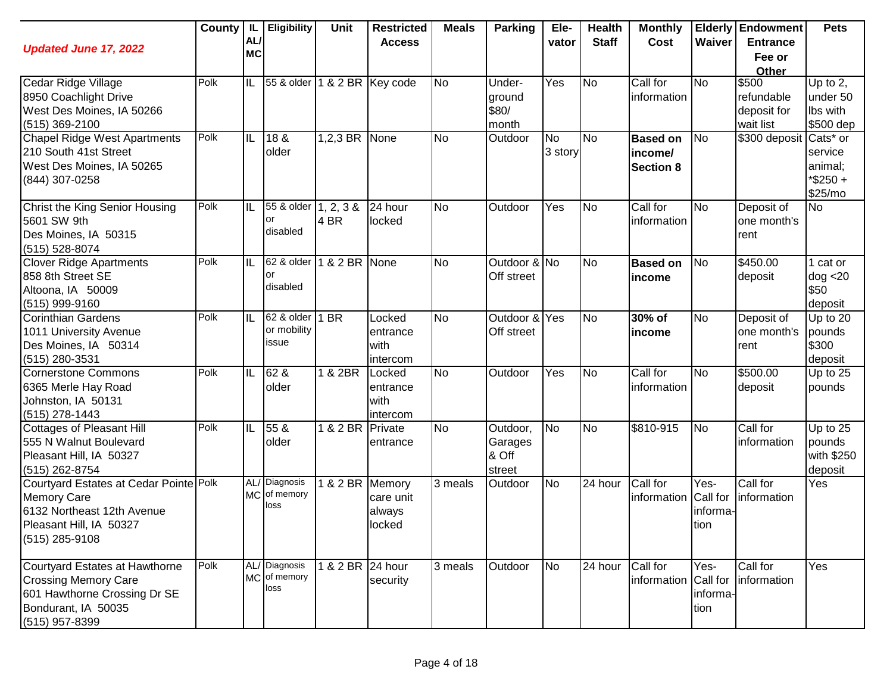| <b>Updated June 17, 2022</b>                                                                                                            |      | AL/                     | County   IL   Eligibility              | Unit             | <b>Restricted</b><br><b>Access</b>     | <b>Meals</b>         | <b>Parking</b>                         | Ele-<br>vator        | <b>Health</b><br><b>Staff</b> | <b>Monthly</b><br>Cost                         | Waiver                   | <b>Elderly Endowment</b><br><b>Entrance</b> | <b>Pets</b>                                           |
|-----------------------------------------------------------------------------------------------------------------------------------------|------|-------------------------|----------------------------------------|------------------|----------------------------------------|----------------------|----------------------------------------|----------------------|-------------------------------|------------------------------------------------|--------------------------|---------------------------------------------|-------------------------------------------------------|
|                                                                                                                                         |      | <b>MC</b>               |                                        |                  |                                        |                      |                                        |                      |                               |                                                |                          | Fee or<br>Other                             |                                                       |
| Cedar Ridge Village<br>8950 Coachlight Drive<br>West Des Moines, IA 50266                                                               | Polk | IL                      | 55 & older                             |                  | 1 & 2 BR Key code                      | <b>No</b>            | Under-<br>ground<br>\$80/              | Yes                  | <b>No</b>                     | Call for<br>information                        | <b>No</b>                | \$500<br>refundable<br>deposit for          | Up to 2,<br>under 50<br>Ibs with                      |
| (515) 369-2100<br><b>Chapel Ridge West Apartments</b><br>210 South 41st Street<br>West Des Moines, IA 50265<br>(844) 307-0258           | Polk | $\overline{\mathbb{L}}$ | 18 &<br>older                          | 1,2,3 BR None    |                                        | <b>No</b>            | month<br>Outdoor                       | <b>No</b><br>3 story | <b>No</b>                     | <b>Based on</b><br>income/<br><b>Section 8</b> | N <sub>o</sub>           | wait list<br>\$300 deposit Cats* or         | \$500 dep<br>service<br>animal;<br>*\$250+<br>\$25/mo |
| Christ the King Senior Housing<br>5601 SW 9th<br>Des Moines, IA 50315<br>(515) 528-8074                                                 | Polk | IL                      | 55 & older 1, 2, 3 &<br>or<br>disabled | 4 BR             | 24 hour<br>locked                      | <b>No</b>            | Outdoor                                | Yes                  | <b>No</b>                     | Call for<br>information                        | No                       | Deposit of<br>one month's<br>rent           | <b>No</b>                                             |
| <b>Clover Ridge Apartments</b><br>858 8th Street SE<br>Altoona, IA 50009<br>(515) 999-9160                                              | Polk | IL                      | 62 & older<br>or<br>disabled           | 1 & 2 BR None    |                                        | <b>No</b>            | Outdoor & No<br>Off street             |                      | <b>No</b>                     | <b>Based on</b><br>income                      | <b>No</b>                | 3450.00<br>deposit                          | 1 cat or<br>dog < 20<br>\$50<br>deposit               |
| <b>Corinthian Gardens</b><br>1011 University Avenue<br>Des Moines, IA 50314<br>(515) 280-3531                                           | Polk | IL                      | 62 & older<br>or mobility<br>issue     | 1 BR             | Locked<br>entrance<br>with<br>intercom | <b>No</b>            | Outdoor & Yes<br>Off street            |                      | <b>No</b>                     | 30% of<br>income                               | <b>No</b>                | Deposit of<br>one month's<br>rent           | Up to 20<br>pounds<br>\$300<br>deposit                |
| Cornerstone Commons<br>6365 Merle Hay Road<br>Johnston, IA 50131<br>(515) 278-1443                                                      | Polk | IL                      | 62 &<br>older                          | 1 & 2BR          | Locked<br>entrance<br>with<br>intercom | <b>No</b>            | Outdoor                                | Yes                  | <b>No</b>                     | Call for<br>information                        | No                       | \$500.00<br>deposit                         | Up to 25<br>pounds                                    |
| Cottages of Pleasant Hill<br>555 N Walnut Boulevard<br>Pleasant Hill, IA 50327<br>(515) 262-8754                                        | Polk | IL                      | 55 &<br>older                          | 1 & 2 BR Private | entrance                               | <b>No</b>            | Outdoor,<br>Garages<br>& Off<br>street | No                   | <b>No</b>                     | \$810-915                                      | No                       | Call for<br>information                     | Up to $25$<br>pounds<br>with \$250<br>deposit         |
| Courtyard Estates at Cedar Pointe Polk<br><b>Memory Care</b><br>6132 Northeast 12th Avenue<br>Pleasant Hill, IA 50327<br>(515) 285-9108 |      |                         | AL/ Diagnosis<br>MC of memory<br>loss  | 1 & 2 BR Memory  | care unit<br>always<br>locked          | $\overline{3}$ meals | Outdoor                                | No                   | $\overline{24}$ hour          | Call for<br>information Call for               | Yes-<br>informa-<br>tion | Call for<br>information                     | Yes                                                   |
| Courtyard Estates at Hawthorne<br><b>Crossing Memory Care</b><br>601 Hawthorne Crossing Dr SE<br>Bondurant, IA 50035<br>(515) 957-8399  | Polk |                         | AL/ Diagnosis<br>MC of memory<br>loss  | 1 & 2 BR 24 hour | security                               | 3 meals              | Outdoor                                | <b>No</b>            | 24 hour                       | Call for<br>information Call for               | Yes-<br>informa-<br>tion | Call for<br>information                     | Yes                                                   |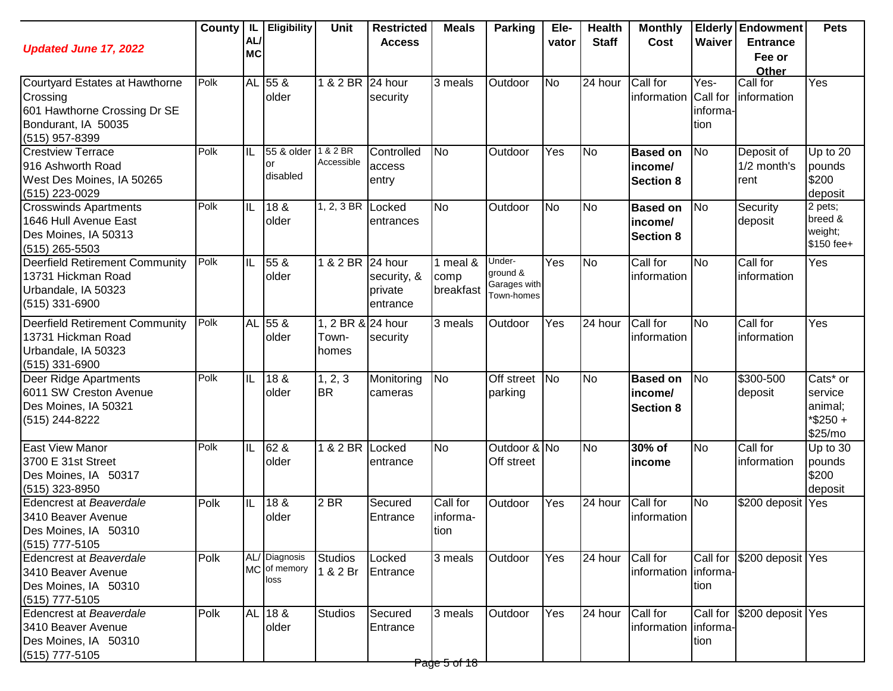| <b>Updated June 17, 2022</b>                                                                                        | County | AL/<br><b>MC</b> | IL   Eligibility                      | Unit                                | <b>Restricted</b><br><b>Access</b>            | <b>Meals</b>                                        | <b>Parking</b>                                   | Ele-<br>vator | <b>Health</b><br><b>Staff</b> | <b>Monthly</b><br>Cost                         | Waiver                   | <b>Elderly Endowment</b><br><b>Entrance</b><br>Fee or<br>Other | <b>Pets</b>                                                          |
|---------------------------------------------------------------------------------------------------------------------|--------|------------------|---------------------------------------|-------------------------------------|-----------------------------------------------|-----------------------------------------------------|--------------------------------------------------|---------------|-------------------------------|------------------------------------------------|--------------------------|----------------------------------------------------------------|----------------------------------------------------------------------|
| Courtyard Estates at Hawthorne<br>Crossing<br>601 Hawthorne Crossing Dr SE<br>Bondurant, IA 50035<br>(515) 957-8399 | Polk   |                  | AL 55 &<br>older                      | 1 & 2 BR                            | 24 hour<br>security                           | 3 meals                                             | Outdoor                                          | <b>No</b>     | 24 hour                       | Call for<br>information Call for               | Yes-<br>informa-<br>tion | Call for<br>information                                        | Yes                                                                  |
| <b>Crestview Terrace</b><br>916 Ashworth Road<br>West Des Moines, IA 50265<br>(515) 223-0029                        | Polk   | IIL              | 55 & older<br>or<br>disabled          | 1 & 2 BR<br>Accessible              | Controlled<br>access<br>entry                 | No                                                  | Outdoor                                          | Yes           | <b>No</b>                     | <b>Based on</b><br>income/<br><b>Section 8</b> | No                       | Deposit of<br>1/2 month's<br>rent                              | Up to 20<br>pounds<br>\$200<br>deposit                               |
| <b>Crosswinds Apartments</b><br>1646 Hull Avenue East<br>Des Moines, IA 50313<br>$(515)$ 265-5503                   | Polk   | IIL              | 18 &<br>older                         | 1, 2, 3 BR Locked                   | entrances                                     | <b>No</b>                                           | Outdoor                                          | <b>No</b>     | N <sub>o</sub>                | <b>Based on</b><br>income/<br><b>Section 8</b> | <b>No</b>                | Security<br>deposit                                            | 2 pets;<br>breed &<br>weight;<br>\$150 fee+                          |
| <b>Deerfield Retirement Community</b><br>13731 Hickman Road<br>Urbandale, IA 50323<br>(515) 331-6900                | Polk   | IL               | 55 &<br>older                         | 1 & 2 BR                            | 24 hour<br>security, &<br>private<br>entrance | 1 meal $\overline{\mathbf{g}}$<br>comp<br>breakfast | Under-<br>ground &<br>Garages with<br>Town-homes | Yes           | N <sub>o</sub>                | Call for<br>information                        | <b>No</b>                | Call for<br>information                                        | Yes                                                                  |
| <b>Deerfield Retirement Community</b><br>13731 Hickman Road<br>Urbandale, IA 50323<br>(515) 331-6900                | Polk   |                  | AL 55 &<br>older                      | 1, 2 BR & 24 hour<br>Town-<br>homes | security                                      | 3 meals                                             | Outdoor                                          | Yes           | 24 hour                       | Call for<br>information                        | <b>No</b>                | Call for<br>information                                        | Yes                                                                  |
| Deer Ridge Apartments<br>6011 SW Creston Avenue<br>Des Moines, IA 50321<br>(515) 244-8222                           | Polk   | IL               | 18 &<br>older                         | 1, 2, 3<br><b>BR</b>                | Monitoring<br>cameras                         | <b>No</b>                                           | Off street<br>parking                            | <b>No</b>     | <b>No</b>                     | <b>Based on</b><br>income/<br><b>Section 8</b> | <b>No</b>                | \$300-500<br>deposit                                           | Cats <sup>*</sup> or<br>service<br>animal;<br>$*$ \$250 +<br>\$25/mo |
| <b>East View Manor</b><br>3700 E 31st Street<br>Des Moines, IA 50317<br>$(515)$ 323-8950                            | Polk   | IL               | 62 &<br>older                         | 1 & 2 BR Locked                     | entrance                                      | <b>No</b>                                           | Outdoor & No<br>Off street                       |               | <b>No</b>                     | 30% of<br>income                               | No                       | Call for<br>information                                        | Up to $30$<br>pounds<br>\$200<br>deposit                             |
| Edencrest at Beaverdale<br>3410 Beaver Avenue<br>Des Moines, IA 50310<br>$(515)$ 777-5105                           | Polk   | IL               | 18 &<br>older                         | 2 BR                                | Secured<br>Entrance                           | Call for<br>informa-<br>tion                        | Outdoor                                          | Yes           | 24 hour                       | Call for<br>information                        | No                       | \$200 deposit Yes                                              |                                                                      |
| Edencrest at Beaverdale<br>3410 Beaver Avenue<br>Des Moines, IA 50310<br>(515) 777-5105                             | Polk   |                  | AL/ Diagnosis<br>MC of memory<br>loss | <b>Studios</b><br>1 & 2 Br          | Locked<br>Entrance                            | 3 meals                                             | Outdoor                                          | Yes           | 24 hour                       | Call for<br>information   informa-             | tion                     | Call for \$200 deposit Yes                                     |                                                                      |
| Edencrest at Beaverdale<br>3410 Beaver Avenue<br>Des Moines, IA 50310<br>$(515)$ 777-5105                           | Polk   |                  | AL 18 &<br>older                      | <b>Studios</b>                      | Secured<br>Entrance                           | 3 meals                                             | Outdoor                                          | Yes           | 24 hour                       | Call for<br>information informa-               | tion                     | Call for \$200 deposit Yes                                     |                                                                      |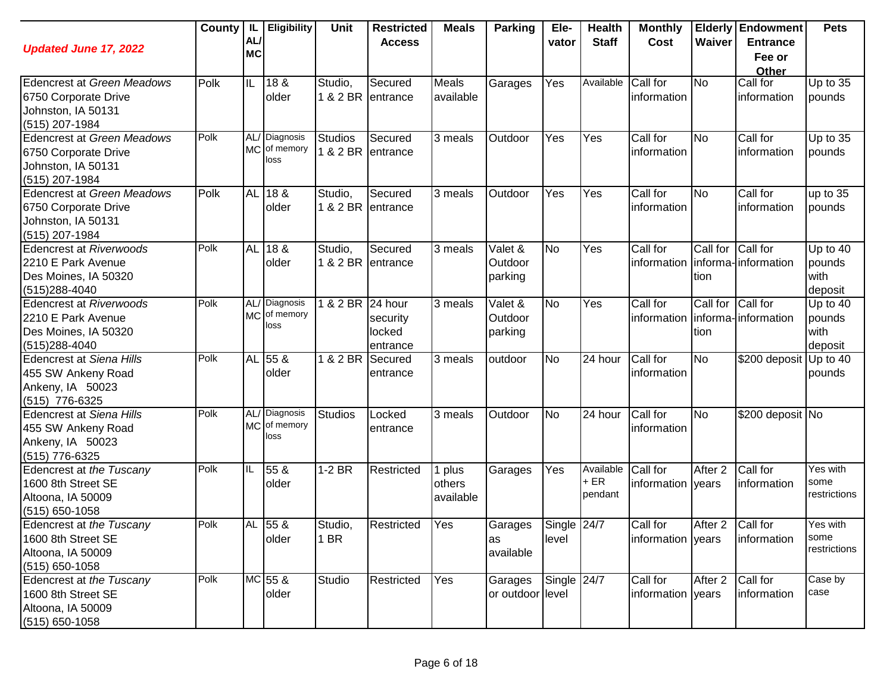| <b>Updated June 17, 2022</b>                                                                      | County | -lL<br><b>AL</b><br><b>MC</b> | <b>Eligibility</b>                    | <b>Unit</b>                | <b>Restricted</b><br><b>Access</b> | <b>Meals</b>                  | <b>Parking</b>                | Ele-<br>vator        | <b>Health</b><br><b>Staff</b> | <b>Monthly</b><br>Cost        | Waiver                    | <b>Elderly Endowment</b><br><b>Entrance</b><br>Fee or<br>Other | <b>Pets</b>                           |
|---------------------------------------------------------------------------------------------------|--------|-------------------------------|---------------------------------------|----------------------------|------------------------------------|-------------------------------|-------------------------------|----------------------|-------------------------------|-------------------------------|---------------------------|----------------------------------------------------------------|---------------------------------------|
| Edencrest at Green Meadows<br>6750 Corporate Drive<br>Johnston, IA 50131<br>(515) 207-1984        | Polk   | IL                            | 18 &<br>older                         | Studio,                    | Secured<br>1 & 2 BR entrance       | Meals<br>available            | Garages                       | Yes                  | Available                     | Call for<br>information       | <b>No</b>                 | Call for<br>information                                        | Up to $35$<br>pounds                  |
| <b>Edencrest at Green Meadows</b><br>6750 Corporate Drive<br>Johnston, IA 50131<br>(515) 207-1984 | Polk   |                               | AL/ Diagnosis<br>MC of memory<br>loss | <b>Studios</b><br>1 & 2 BR | Secured<br>entrance                | 3 meals                       | Outdoor                       | Yes                  | Yes                           | Call for<br>information       | <b>No</b>                 | Call for<br>information                                        | Up to 35<br>pounds                    |
| <b>Edencrest at Green Meadows</b><br>6750 Corporate Drive<br>Johnston, IA 50131<br>(515) 207-1984 | Polk   |                               | AL 18 &<br>older                      | Studio,                    | Secured<br>1 & 2 BR entrance       | 3 meals                       | Outdoor                       | Yes                  | Yes                           | Call for<br>information       | <b>No</b>                 | Call for<br>information                                        | up to 35<br>pounds                    |
| <b>Edencrest at Riverwoods</b><br>2210 E Park Avenue<br>Des Moines, IA 50320<br>$(515)288 - 4040$ | Polk   |                               | AL 18 &<br>older                      | Studio,<br>1 & 2 BR        | Secured<br>entrance                | 3 meals                       | Valet &<br>Outdoor<br>parking | <b>No</b>            | Yes                           | Call for<br>information       | Call for Call for<br>tion | informa-information                                            | Up to 40<br>pounds<br>with<br>deposit |
| Edencrest at Riverwoods<br>2210 E Park Avenue<br>Des Moines, IA 50320<br>(515) 288-4040           | Polk   |                               | AL/ Diagnosis<br>MC of memory<br>loss | 1 & 2 BR 24 hour           | security<br>locked<br>entrance     | 3 meals                       | Valet &<br>Outdoor<br>parking | No                   | Yes                           | Call for<br>information       | Call for Call for<br>tion | informa-linformation                                           | Up to 40<br>pounds<br>with<br>deposit |
| Edencrest at Siena Hills<br>455 SW Ankeny Road<br>Ankeny, IA 50023<br>(515) 776-6325              | Polk   | <b>AL</b>                     | $55\ \&$<br>older                     | 1 & 2 BR                   | Secured<br>entrance                | 3 meals                       | outdoor                       | No                   | $\overline{2}4$ hour          | Call for<br>information       | <b>No</b>                 | \$200 deposit                                                  | Up to 40<br>pounds                    |
| <b>Edencrest at Siena Hills</b><br>455 SW Ankeny Road<br>Ankeny, IA 50023<br>(515) 776-6325       | Polk   |                               | AL/ Diagnosis<br>MC of memory<br>loss | <b>Studios</b>             | Locked<br>entrance                 | 3 meals                       | Outdoor                       | <b>No</b>            | 24 hour                       | Call for<br>information       | <b>No</b>                 | \$200 deposit No                                               |                                       |
| Edencrest at the Tuscany<br>1600 8th Street SE<br>Altoona, IA 50009<br>$(515)$ 650-1058           | Polk   | IIL                           | 55 &<br>older                         | $1-2$ BR                   | Restricted                         | 1 plus<br>others<br>available | Garages                       | Yes                  | Available<br>$+ER$<br>pendant | Call for<br>information vears | After 2                   | Call for<br>information                                        | Yes with<br>some<br>restrictions      |
| Edencrest at the Tuscany<br>1600 8th Street SE<br>Altoona, IA 50009<br>$(515)$ 650-1058           | Polk   |                               | AL 55 &<br>older                      | Studio,<br>1 BR            | Restricted                         | Yes                           | Garages<br>las<br>available   | Single 24/7<br>level |                               | Call for<br>information years | After 2 Call for          | information                                                    | Yes with<br>some<br>restrictions      |
| Edencrest at the Tuscany<br>1600 8th Street SE<br>Altoona, IA 50009<br>$(515)$ 650-1058           | Polk   |                               | MC 55 &<br>older                      | Studio                     | Restricted                         | Yes                           | Garages<br>or outdoor level   | Single 24/7          |                               | Call for<br>information years | After 2                   | Call for<br>information                                        | Case by<br>case                       |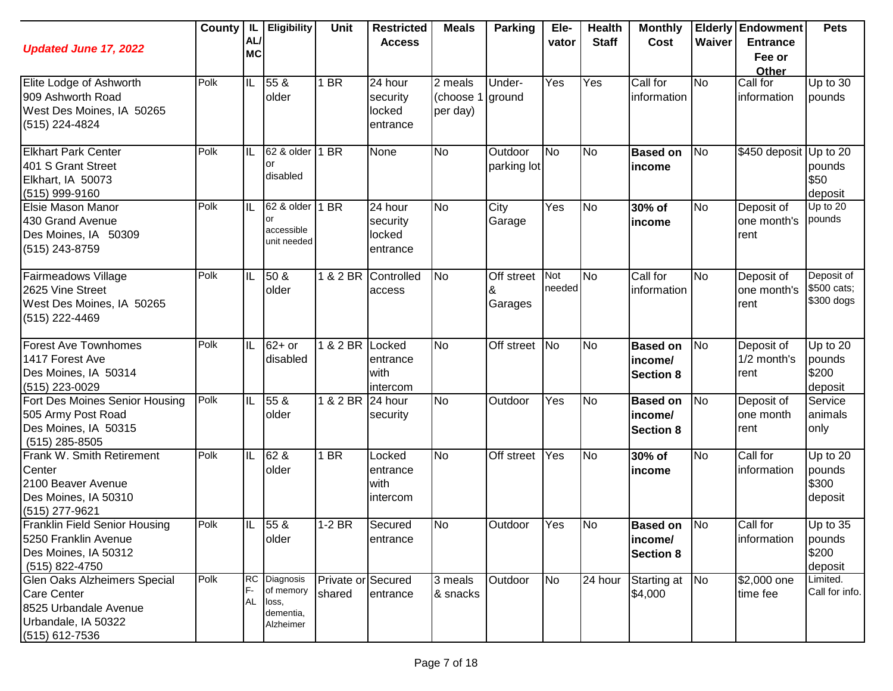| <b>Updated June 17, 2022</b>                                                                                                | County | IL<br>AL/<br><b>MC</b> | <b>Eligibility</b>                                        | <b>Unit</b>                  | <b>Restricted</b><br><b>Access</b>        | <b>Meals</b>                     | <b>Parking</b>         | Ele-<br>vator | <b>Health</b><br><b>Staff</b> | <b>Monthly</b><br>Cost                         | Waiver    | <b>Elderly Endowment</b><br><b>Entrance</b><br>Fee or<br>Other | <b>Pets</b>                              |
|-----------------------------------------------------------------------------------------------------------------------------|--------|------------------------|-----------------------------------------------------------|------------------------------|-------------------------------------------|----------------------------------|------------------------|---------------|-------------------------------|------------------------------------------------|-----------|----------------------------------------------------------------|------------------------------------------|
| Elite Lodge of Ashworth<br>909 Ashworth Road<br>West Des Moines, IA 50265<br>(515) 224-4824                                 | Polk   | IL                     | 55 &<br>older                                             | 1 BR                         | 24 hour<br>security<br>locked<br>entrance | 2 meals<br>(choose 1<br>per day) | Under-<br>ground       | Yes           | Yes                           | Call for<br>information                        | <b>No</b> | Call for<br>information                                        | Up to 30<br>pounds                       |
| <b>Elkhart Park Center</b><br>401 S Grant Street<br>Elkhart, IA 50073<br>(515) 999-9160                                     | Polk   | IL                     | 62 & older<br>or<br>disabled                              | 1 <sub>BR</sub>              | None                                      | <b>No</b>                        | Outdoor<br>parking lot | <b>No</b>     | <b>No</b>                     | <b>Based on</b><br>income                      | No        | \$450 deposit Up to 20                                         | pounds<br>\$50<br>deposit                |
| Elsie Mason Manor<br>430 Grand Avenue<br>Des Moines, IA 50309<br>(515) 243-8759                                             | Polk   | IL                     | 62 & older<br>or<br>accessible<br>unit needed             | 1 BR                         | 24 hour<br>security<br>locked<br>entrance | <b>No</b>                        | City<br>Garage         | Yes           | No                            | 30% of<br>income                               | <b>No</b> | Deposit of<br>one month's<br>rent                              | Up to $20$<br>pounds                     |
| Fairmeadows Village<br>2625 Vine Street<br>West Des Moines, IA 50265<br>(515) 222-4469                                      | Polk   | IL                     | 50 &<br>older                                             | 1 & 2 BR                     | Controlled<br>access                      | <b>No</b>                        | Off street<br>Garages  | Not<br>needed | <b>No</b>                     | Call for<br>information                        | No        | Deposit of<br>one month's<br>rent                              | Deposit of<br>\$500 cats;<br>\$300 dogs  |
| <b>Forest Ave Townhomes</b><br>1417 Forest Ave<br>Des Moines, IA 50314<br>(515) 223-0029                                    | Polk   | IL                     | $62+$ or<br>disabled                                      | 1 & 2 BR Locked              | entrance<br>with<br>intercom              | <b>No</b>                        | Off street No          |               | N <sub>o</sub>                | <b>Based on</b><br>income/<br><b>Section 8</b> | No        | Deposit of<br>1/2 month's<br>rent                              | Up to 20<br>pounds<br>\$200<br>deposit   |
| Fort Des Moines Senior Housing<br>505 Army Post Road<br>Des Moines, IA 50315<br>$(515)$ 285-8505                            | Polk   | IL                     | 55 &<br>older                                             | 1 & 2 BR 24 hour             | security                                  | <b>No</b>                        | Outdoor                | Yes           | <b>No</b>                     | <b>Based on</b><br>income/<br><b>Section 8</b> | No        | Deposit of<br>one month<br>rent                                | Service<br>animals<br>only               |
| Frank W. Smith Retirement<br>Center<br>2100 Beaver Avenue<br>Des Moines, IA 50310<br>(515) 277-9621                         | Polk   | IL                     | 62 &<br>older                                             | $1$ BR                       | Locked<br>entrance<br>with<br>intercom    | $\overline{N}$                   | Off street             | Yes           | <b>No</b>                     | 30% of<br>income                               | <b>No</b> | Call for<br>information                                        | Up to $20$<br>pounds<br>\$300<br>deposit |
| <b>Franklin Field Senior Housing</b><br>5250 Franklin Avenue<br>Des Moines, IA 50312<br>(515) 822-4750                      | Polk   | IL                     | $\overline{55}$ &<br>older                                | $1-2$ BR                     | Secured<br>entrance                       | No                               | Outdoor                | Yes           | <b>No</b>                     | <b>Based on</b><br>income/<br><b>Section 8</b> | <b>No</b> | Call for<br>information                                        | Up to 35<br>pounds<br>\$200<br>deposit   |
| <b>Glen Oaks Alzheimers Special</b><br><b>Care Center</b><br>8525 Urbandale Avenue<br>Urbandale, IA 50322<br>(515) 612-7536 | Polk   | <b>RC</b><br><b>AL</b> | Diagnosis<br>of memory<br>loss,<br>dementia,<br>Alzheimer | Private or Secured<br>shared | entrance                                  | 3 meals<br>& snacks              | Outdoor                | <b>No</b>     | 24 hour                       | Starting at<br>\$4,000                         | <b>No</b> | \$2,000 one<br>time fee                                        | Limited.<br>Call for info.               |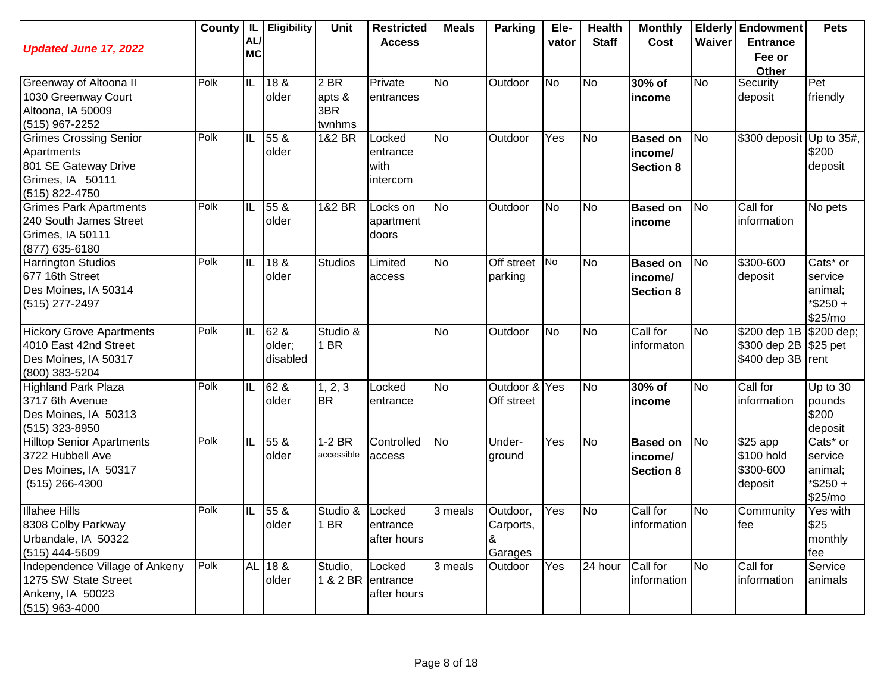| <b>Updated June 17, 2022</b>     | County | IL<br>AL/<br><b>MC</b> | Eligibility     | Unit            | <b>Restricted</b><br><b>Access</b> | <b>Meals</b> | <b>Parking</b> | Ele-<br>vator    | <b>Health</b><br><b>Staff</b> | <b>Monthly</b><br>Cost | Waiver         | <b>Elderly Endowment</b><br><b>Entrance</b><br>Fee or | <b>Pets</b>            |
|----------------------------------|--------|------------------------|-----------------|-----------------|------------------------------------|--------------|----------------|------------------|-------------------------------|------------------------|----------------|-------------------------------------------------------|------------------------|
|                                  |        |                        |                 |                 |                                    |              |                |                  |                               |                        |                | <b>Other</b>                                          |                        |
| Greenway of Altoona II           | Polk   | IL                     | 18 &            | 2 <sub>BR</sub> | Private                            | <b>No</b>    | Outdoor        | No               | <b>No</b>                     | 30% of                 | <b>No</b>      | Security                                              | Pet                    |
| 1030 Greenway Court              |        |                        | older           | apts &          | entrances                          |              |                |                  |                               | income                 |                | deposit                                               | friendly               |
| Altoona, IA 50009                |        |                        |                 | 3BR             |                                    |              |                |                  |                               |                        |                |                                                       |                        |
| (515) 967-2252                   |        |                        |                 | twnhms          |                                    |              |                |                  |                               |                        |                |                                                       |                        |
| <b>Grimes Crossing Senior</b>    | Polk   | IL                     | 55 &            | 1&2 BR          | Locked                             | <b>No</b>    | Outdoor        | $\overline{Yes}$ | <b>No</b>                     | <b>Based on</b>        | No             | \$300 deposit                                         | Up to 35#,             |
| Apartments                       |        |                        | older           |                 | entrance                           |              |                |                  |                               | income/                |                |                                                       | \$200                  |
| 801 SE Gateway Drive             |        |                        |                 |                 | with                               |              |                |                  |                               | <b>Section 8</b>       |                |                                                       | deposit                |
| Grimes, IA 50111                 |        |                        |                 |                 | intercom                           |              |                |                  |                               |                        |                |                                                       |                        |
| (515) 822-4750                   |        |                        |                 |                 |                                    |              |                |                  |                               |                        |                |                                                       |                        |
| <b>Grimes Park Apartments</b>    | Polk   | IL                     | 55 &            | 1&2 BR          | Locks on                           | <b>No</b>    | Outdoor        | <b>No</b>        | <b>No</b>                     | <b>Based on</b>        | <b>No</b>      | Call for                                              | No pets                |
| 240 South James Street           |        |                        | older           |                 | apartment                          |              |                |                  |                               | income                 |                | information                                           |                        |
| Grimes, IA 50111                 |        |                        |                 |                 | doors                              |              |                |                  |                               |                        |                |                                                       |                        |
| (877) 635-6180                   |        |                        |                 |                 |                                    |              |                |                  |                               |                        |                |                                                       |                        |
| <b>Harrington Studios</b>        | Polk   | IL                     | 18 &            | Studios         | Limited                            | <b>No</b>    | Off street     | $\overline{N}$   | <b>No</b>                     | <b>Based on</b>        | <b>No</b>      | \$300-600                                             | Cats <sup>*</sup> or   |
| 677 16th Street                  |        |                        | older           |                 | access                             |              | parking        |                  |                               | income/                |                | deposit                                               | service                |
| Des Moines, IA 50314             |        |                        |                 |                 |                                    |              |                |                  |                               | <b>Section 8</b>       |                |                                                       | animal;                |
| (515) 277-2497                   |        |                        |                 |                 |                                    |              |                |                  |                               |                        |                |                                                       | $*$ \$250 +<br>\$25/mo |
| <b>Hickory Grove Apartments</b>  | Polk   | IL                     | 62 &            | Studio &        |                                    | <b>No</b>    | Outdoor        | <b>No</b>        | <b>No</b>                     | Call for               | No             | \$200 dep 1B                                          | \$200 dep;             |
| 4010 East 42nd Street            |        |                        | older;          | 1 BR            |                                    |              |                |                  |                               | informaton             |                | \$300 dep 2B                                          | \$25 pet               |
| Des Moines, IA 50317             |        |                        | disabled        |                 |                                    |              |                |                  |                               |                        |                | \$400 dep 3B                                          | rent                   |
| (800) 383-5204                   |        |                        |                 |                 |                                    |              |                |                  |                               |                        |                |                                                       |                        |
| <b>Highland Park Plaza</b>       | Polk   | IL                     | 62 &            | 1, 2, 3         | Locked                             | <b>No</b>    | Outdoor & Yes  |                  | <b>No</b>                     | 30% of                 | No             | Call for                                              | Up to $30$             |
| 3717 6th Avenue                  |        |                        | older           | <b>BR</b>       | entrance                           |              | Off street     |                  |                               | income                 |                | information                                           | pounds                 |
| Des Moines, IA 50313             |        |                        |                 |                 |                                    |              |                |                  |                               |                        |                |                                                       | \$200                  |
| (515) 323-8950                   |        |                        |                 |                 |                                    |              |                |                  |                               |                        |                |                                                       | deposit                |
| <b>Hilltop Senior Apartments</b> | Polk   | IL                     | 55 <sub>8</sub> | $1-2$ BR        | Controlled                         | <b>No</b>    | Under-         | Yes              | <b>No</b>                     | <b>Based on</b>        | N <sub>o</sub> | $$25$ app                                             | Cats* or               |
| 3722 Hubbell Ave                 |        |                        | older           | accessible      | access                             |              | ground         |                  |                               | income/                |                | \$100 hold                                            | service                |
| Des Moines, IA 50317             |        |                        |                 |                 |                                    |              |                |                  |                               | <b>Section 8</b>       |                | \$300-600                                             | animal;                |
| $(515)$ 266-4300                 |        |                        |                 |                 |                                    |              |                |                  |                               |                        |                | deposit                                               | *\$250+                |
|                                  |        |                        |                 |                 |                                    |              |                |                  |                               |                        |                |                                                       | \$25/mo                |
| <b>Illahee Hills</b>             | Polk   | IL                     | 55 &            | Studio &        | _ocked                             | 3 meals      | Outdoor,       | Yes              | <b>No</b>                     | Call for               | <b>No</b>      | Community                                             | Yes with               |
| 8308 Colby Parkway               |        |                        | older           | 1 BR            | entrance                           |              | Carports,      |                  |                               | information            |                | lfee                                                  | \$25                   |
| Urbandale, IA 50322              |        |                        |                 |                 | after hours                        |              | 8              |                  |                               |                        |                |                                                       | monthly                |
| (515) 444-5609                   |        |                        |                 |                 |                                    |              | Garages        |                  |                               |                        |                |                                                       | fee                    |
| Independence Village of Ankeny   | Polk   |                        | AL 18 &         | Studio,         | Locked                             | 3 meals      | Outdoor        | Yes              | 24 hour                       | Call for               | No             | Call for                                              | Service                |
| 1275 SW State Street             |        |                        | older           |                 | 1 & 2 BR entrance                  |              |                |                  |                               | information            |                | information                                           | animals                |
| Ankeny, IA 50023                 |        |                        |                 |                 | after hours                        |              |                |                  |                               |                        |                |                                                       |                        |
| $(515)$ 963-4000                 |        |                        |                 |                 |                                    |              |                |                  |                               |                        |                |                                                       |                        |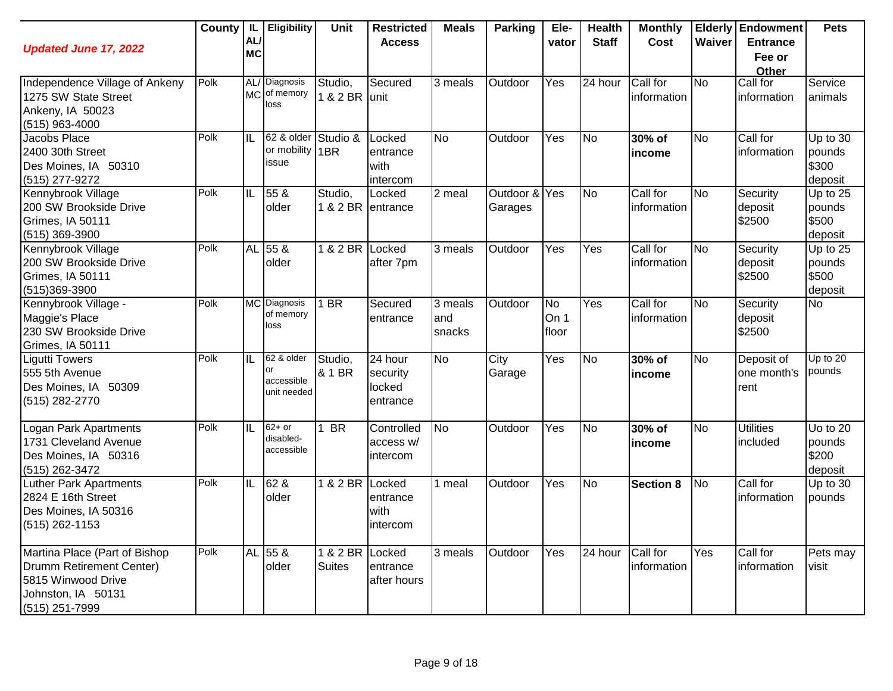| <b>Updated June 17, 2022</b>     | County | IL.<br>AL/<br><b>MC</b> | Eligibility                   | Unit              | <b>Restricted</b><br><b>Access</b> | <b>Meals</b> | <b>Parking</b> | Ele-<br>vator | <b>Health</b><br><b>Staff</b> | <b>Monthly</b><br>Cost | Waiver    | <b>Elderly Endowment</b><br><b>Entrance</b><br>Fee or | <b>Pets</b>         |
|----------------------------------|--------|-------------------------|-------------------------------|-------------------|------------------------------------|--------------|----------------|---------------|-------------------------------|------------------------|-----------|-------------------------------------------------------|---------------------|
|                                  |        |                         |                               |                   |                                    |              |                |               |                               |                        |           | Other                                                 |                     |
| Independence Village of Ankeny   | Polk   |                         | AL/ Diagnosis<br>MC of memory | Studio,           | Secured                            | 3 meals      | Outdoor        | Yes           | 24 hour                       | Call for               | No        | Call for                                              | Service             |
| 1275 SW State Street             |        |                         | loss                          | 1 & 2 BR unit     |                                    |              |                |               |                               | information            |           | information                                           | animals             |
| Ankeny, IA 50023                 |        |                         |                               |                   |                                    |              |                |               |                               |                        |           |                                                       |                     |
| $(515)$ 963-4000                 | Polk   |                         | 62 & older                    |                   |                                    |              |                |               |                               |                        |           |                                                       |                     |
| Jacobs Place<br>2400 30th Street |        | IL                      | or mobility 1BR               | Studio &          | Locked                             | <b>No</b>    | Outdoor        | Yes           | <b>No</b>                     | 30% of                 | No        | Call for<br>information                               | Up to 30            |
| Des Moines, IA 50310             |        |                         | issue                         |                   | entrance<br>with                   |              |                |               |                               | income                 |           |                                                       | pounds<br>\$300     |
| (515) 277-9272                   |        |                         |                               |                   |                                    |              |                |               |                               |                        |           |                                                       |                     |
| Kennybrook Village               | Polk   | IL                      | 55 &                          | Studio,           | intercom<br>Locked                 | 2 meal       | Outdoor & Yes  |               | N <sub>o</sub>                | Call for               | No        | Security                                              | deposit<br>Up to 25 |
| 200 SW Brookside Drive           |        |                         | older                         | 1 & 2 BR entrance |                                    |              | Garages        |               |                               | information            |           | deposit                                               | pounds              |
| Grimes, IA 50111                 |        |                         |                               |                   |                                    |              |                |               |                               |                        |           | \$2500                                                | \$500               |
| $(515)$ 369-3900                 |        |                         |                               |                   |                                    |              |                |               |                               |                        |           |                                                       | deposit             |
| Kennybrook Village               | Polk   |                         | AL 55 &                       | 1 & 2 BR Locked   |                                    | 3 meals      | Outdoor        | Yes           | Yes                           | Call for               | No        | Security                                              | Up to 25            |
| 200 SW Brookside Drive           |        |                         | older                         |                   | after 7pm                          |              |                |               |                               | information            |           | deposit                                               | pounds              |
| Grimes, IA 50111                 |        |                         |                               |                   |                                    |              |                |               |                               |                        |           | \$2500                                                | \$500               |
| (515)369-3900                    |        |                         |                               |                   |                                    |              |                |               |                               |                        |           |                                                       | deposit             |
| Kennybrook Village -             | Polk   |                         | MC Diagnosis                  | 1 BR              | Secured                            | 3 meals      | Outdoor        | <b>No</b>     | Yes                           | Call for               | <b>No</b> | Security                                              | <b>No</b>           |
| Maggie's Place                   |        |                         | of memory                     |                   | entrance                           | and          |                | On 1          |                               | information            |           | deposit                                               |                     |
| 230 SW Brookside Drive           |        |                         | loss                          |                   |                                    | snacks       |                | floor         |                               |                        |           | \$2500                                                |                     |
| Grimes, IA 50111                 |        |                         |                               |                   |                                    |              |                |               |                               |                        |           |                                                       |                     |
| <b>Ligutti Towers</b>            | Polk   | IL                      | 62 & older                    | Studio,           | 24 hour                            | <b>No</b>    | City           | Yes           | <b>No</b>                     | 30% of                 | <b>No</b> | Deposit of                                            | Up to $20$          |
| 555 5th Avenue                   |        |                         | or<br>accessible              | & 1 BR            | security                           |              | Garage         |               |                               | income                 |           | one month's                                           | pounds              |
| Des Moines, IA 50309             |        |                         | unit needed                   |                   | locked                             |              |                |               |                               |                        |           | rent                                                  |                     |
| (515) 282-2770                   |        |                         |                               |                   | entrance                           |              |                |               |                               |                        |           |                                                       |                     |
|                                  |        |                         |                               |                   |                                    |              |                |               |                               |                        |           |                                                       |                     |
| Logan Park Apartments            | Polk   | IL                      | $62+$ or<br>disabled-         | <b>BR</b>         | Controlled                         | <b>No</b>    | Outdoor        | Yes           | <b>No</b>                     | 30% of                 | No        | <b>Utilities</b>                                      | Uo to 20            |
| 1731 Cleveland Avenue            |        |                         | accessible                    |                   | access w/                          |              |                |               |                               | income                 |           | included                                              | pounds              |
| Des Moines, IA 50316             |        |                         |                               |                   | intercom                           |              |                |               |                               |                        |           |                                                       | \$200               |
| (515) 262-3472                   |        |                         |                               |                   |                                    |              |                |               |                               |                        |           |                                                       | deposit             |
| <b>Luther Park Apartments</b>    | Polk   | IL                      | 62 &                          | 1 & 2 BR Locked   |                                    | 1 meal       | Outdoor        | Yes           | <b>No</b>                     | <b>Section 8</b>       | No        | Call for                                              | Up to 30            |
| 2824 E 16th Street               |        |                         | older                         |                   | entrance<br>with                   |              |                |               |                               |                        |           | information                                           | pounds              |
| Des Moines, IA 50316             |        |                         |                               |                   |                                    |              |                |               |                               |                        |           |                                                       |                     |
| $(515)$ 262-1153                 |        |                         |                               |                   | intercom                           |              |                |               |                               |                        |           |                                                       |                     |
| Martina Place (Part of Bishop    | Polk   |                         | AL 55 &                       | 1 & 2 BR Locked   |                                    | 3 meals      | Outdoor        | Yes           | 24 hour                       | Call for               | Yes       | Call for                                              | Pets may            |
| Drumm Retirement Center)         |        |                         | older                         | <b>Suites</b>     | entrance                           |              |                |               |                               | information            |           | information                                           | visit               |
| 5815 Winwood Drive               |        |                         |                               |                   | after hours                        |              |                |               |                               |                        |           |                                                       |                     |
| Johnston, IA 50131               |        |                         |                               |                   |                                    |              |                |               |                               |                        |           |                                                       |                     |
| (515) 251-7999                   |        |                         |                               |                   |                                    |              |                |               |                               |                        |           |                                                       |                     |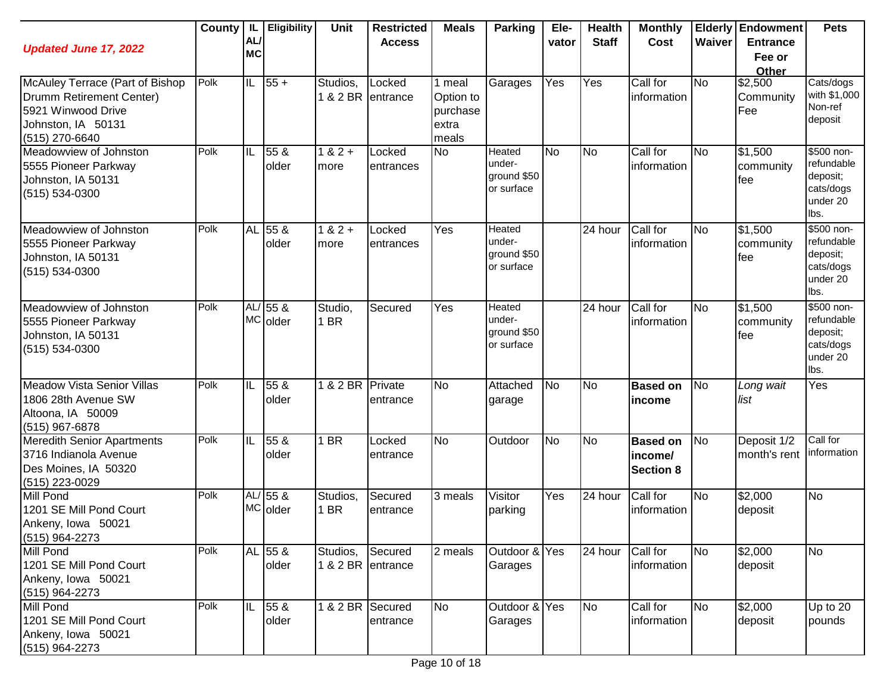| <b>Updated June 17, 2022</b>                                                                                              | County | IL.<br>AL/<br><b>MC</b> | <b>Eligibility</b>       | Unit                          | <b>Restricted</b><br><b>Access</b> | <b>Meals</b>                                      | <b>Parking</b>                                       | Ele-<br>vator | <b>Health</b><br><b>Staff</b> | <b>Monthly</b><br>Cost                         | Waiver         | <b>Elderly Endowment</b><br><b>Entrance</b><br>Fee or<br>Other | <b>Pets</b>                                                           |
|---------------------------------------------------------------------------------------------------------------------------|--------|-------------------------|--------------------------|-------------------------------|------------------------------------|---------------------------------------------------|------------------------------------------------------|---------------|-------------------------------|------------------------------------------------|----------------|----------------------------------------------------------------|-----------------------------------------------------------------------|
| McAuley Terrace (Part of Bishop<br>Drumm Retirement Center)<br>5921 Winwood Drive<br>Johnston, IA 50131<br>(515) 270-6640 | Polk   | $\overline{\mathbb{L}}$ | $ 55+$                   | Studios,                      | Locked<br>1 & 2 BR entrance        | 1 meal<br>Option to<br>purchase<br>extra<br>meals | Garages                                              | Yes           | $\overline{Yes}$              | Call for<br>information                        | <b>No</b>      | \$2,500<br>Community<br>Fee                                    | Cats/dogs<br>with \$1,000<br>Non-ref<br>deposit                       |
| Meadowview of Johnston<br>5555 Pioneer Parkway<br>Johnston, IA 50131<br>(515) 534-0300                                    | Polk   | IL                      | 55 <sub>8</sub><br>older | $1 & 2 +$<br>more             | Locked<br>entrances                | <b>No</b>                                         | <b>Heated</b><br>under-<br>ground \$50<br>or surface | No            | <b>No</b>                     | Call for<br>information                        | <b>No</b>      | \$1,500<br>community<br>fee                                    | \$500 non-<br>refundable<br>deposit;<br>cats/dogs<br>under 20<br>lbs. |
| Meadowview of Johnston<br>5555 Pioneer Parkway<br>Johnston, IA 50131<br>(515) 534-0300                                    | Polk   | <b>AL</b>               | 55 <sub>8</sub><br>older | $1 & 2 +$<br>more             | Locked<br>entrances                | Yes                                               | Heated<br>under-<br>ground \$50<br>or surface        |               | 24 hour                       | Call for<br>information                        | <b>No</b>      | \$1,500<br>community<br>fee                                    | \$500 non-<br>refundable<br>deposit;<br>cats/dogs<br>under 20<br>lbs. |
| Meadowview of Johnston<br>5555 Pioneer Parkway<br>Johnston, IA 50131<br>(515) 534-0300                                    | Polk   |                         | $AL/55$ &<br>MC older    | Studio,<br>1 BR               | Secured                            | Yes                                               | Heated<br>under-<br>ground \$50<br>or surface        |               | 24 hour                       | Call for<br>information                        | <b>No</b>      | $\sqrt{$1,500}$<br>community<br>fee                            | \$500 non-<br>refundable<br>deposit;<br>cats/dogs<br>under 20<br>lbs. |
| <b>Meadow Vista Senior Villas</b><br>1806 28th Avenue SW<br>Altoona, IA 50009<br>(515) 967-6878                           | Polk   | IL                      | 55 &<br>older            | 182BR                         | Private<br>entrance                | <b>No</b>                                         | Attached<br>garage                                   | <b>No</b>     | <b>No</b>                     | <b>Based on</b><br>income                      | N <sub>o</sub> | Long wait<br>list                                              | Yes                                                                   |
| <b>Meredith Senior Apartments</b><br>3716 Indianola Avenue<br>Des Moines, IA 50320<br>$(515)$ 223-0029                    | Polk   | IL                      | 55 <sub>8</sub><br>older | 1 BR                          | Locked<br>entrance                 | No                                                | Outdoor                                              | No            | <b>No</b>                     | <b>Based on</b><br>income/<br><b>Section 8</b> | N <sub>o</sub> | Deposit 1/2<br>month's rent                                    | Call for<br>information                                               |
| <b>Mill Pond</b><br>1201 SE Mill Pond Court<br>Ankeny, Iowa 50021<br>$(515)$ 964-2273                                     | Polk   |                         | $AL/55$ &<br>MC older    | Studios,<br>1 BR              | Secured<br>entrance                | 3 meals                                           | Visitor<br>parking                                   | Yes           | 24 hour                       | Call for<br>information                        | <b>No</b>      | $\sqrt{$2,000}$<br>deposit                                     | <b>No</b>                                                             |
| Mill Pond<br>1201 SE Mill Pond Court<br>Ankeny, Iowa 50021<br>(515) 964-2273                                              | Polk   |                         | AL 55 &<br>older         | Studios,<br>1 & 2 BR entrance | Secured                            | 2 meals                                           | Outdoor & Yes<br>Garages                             |               | 24 hour                       | Call for<br>information                        | <b>No</b>      | \$2,000<br>deposit                                             | <b>No</b>                                                             |
| Mill Pond<br>1201 SE Mill Pond Court<br>Ankeny, Iowa 50021<br>(515) 964-2273                                              | Polk   | IL                      | 55 &<br>older            | 1 & 2 BR Secured              | entrance                           | <b>No</b>                                         | Outdoor & Yes<br>Garages                             |               | <b>No</b>                     | Call for<br>information                        | <b>No</b>      | \$2,000<br>deposit                                             | Up to 20<br>pounds                                                    |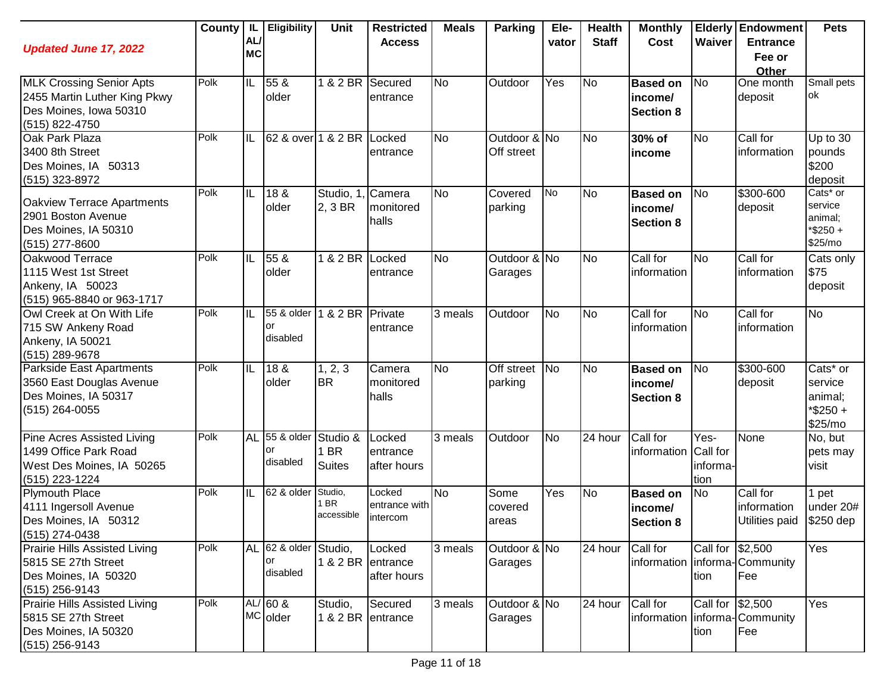| <b>Updated June 17, 2022</b>                                                                                | County | IL.<br>AL/<br><b>MC</b> | Eligibility                             | <b>Unit</b>                       | <b>Restricted</b><br><b>Access</b>         | <b>Meals</b>         | <b>Parking</b>             | Ele-<br>vator | <b>Health</b><br><b>Staff</b> | <b>Monthly</b><br>Cost                         | Waiver                                             | <b>Elderly Endowment</b><br><b>Entrance</b><br>Fee or<br>Other | <b>Pets</b>                                          |
|-------------------------------------------------------------------------------------------------------------|--------|-------------------------|-----------------------------------------|-----------------------------------|--------------------------------------------|----------------------|----------------------------|---------------|-------------------------------|------------------------------------------------|----------------------------------------------------|----------------------------------------------------------------|------------------------------------------------------|
| <b>MLK Crossing Senior Apts</b><br>2455 Martin Luther King Pkwy<br>Des Moines, Iowa 50310<br>(515) 822-4750 | Polk   | IL                      | 55 &<br>older                           | 1 & 2 BR                          | Secured<br>entrance                        | <b>No</b>            | Outdoor                    | Yes           | No                            | <b>Based on</b><br>income/<br><b>Section 8</b> | N <sub>o</sub>                                     | One month<br>deposit                                           | Small pets<br>ok                                     |
| Oak Park Plaza<br>3400 8th Street<br>Des Moines, IA 50313<br>(515) 323-8972                                 | Polk   | IL                      | 62 & over 1 & 2 BR Locked               |                                   | entrance                                   | <b>No</b>            | Outdoor & No<br>Off street |               | <b>No</b>                     | 30% of<br>income                               | <b>No</b>                                          | Call for<br>information                                        | Up to $30$<br>pounds<br>\$200<br>deposit             |
| Oakview Terrace Apartments<br>2901 Boston Avenue<br>Des Moines, IA 50310<br>(515) 277-8600                  | Polk   | IL                      | 18 &<br>older                           | Studio, 1<br>2, 3 BR              | Camera<br>monitored<br>halls               | <b>No</b>            | Covered<br>parking         | <b>No</b>     | No                            | <b>Based on</b><br>income/<br><b>Section 8</b> | N <sub>o</sub>                                     | \$300-600<br>deposit                                           | Cats* or<br>service<br>animal;<br>*\$250+<br>\$25/mo |
| Oakwood Terrace<br>1115 West 1st Street<br>Ankeny, IA 50023<br>(515) 965-8840 or 963-1717                   | Polk   | IL                      | 55 <sub>8</sub><br>older                | 1 & 2 BR Locked                   | entrance                                   | <b>No</b>            | Outdoor & No<br>Garages    |               | No                            | Call for<br>information                        | <b>No</b>                                          | Call for<br>information                                        | Cats only<br>\$75<br>deposit                         |
| Owl Creek at On With Life<br>715 SW Ankeny Road<br>Ankeny, IA 50021<br>(515) 289-9678                       | Polk   | IL                      | 55 & older<br>or<br>disabled            | 1 & 2 BR                          | Private<br>entrance                        | 3 meals              | Outdoor                    | <b>No</b>     | <b>No</b>                     | Call for<br>information                        | <b>No</b>                                          | Call for<br>information                                        | <b>No</b>                                            |
| Parkside East Apartments<br>3560 East Douglas Avenue<br>Des Moines, IA 50317<br>$(515)$ 264-0055            | Polk   | IL                      | 18 &<br>older                           | 1, 2, 3<br><b>BR</b>              | Camera<br>monitored<br>halls               | <b>No</b>            | Off street No<br>parking   |               | <b>No</b>                     | <b>Based on</b><br>income/<br><b>Section 8</b> | No                                                 | \$300-600<br>deposit                                           | Cats* or<br>service<br>animal;<br>*\$250+<br>\$25/mo |
| Pine Acres Assisted Living<br>1499 Office Park Road<br>West Des Moines, IA 50265<br>(515) 223-1224          | Polk   | <b>AL</b>               | 55 & older<br>or<br>disabled            | Studio &<br>1 BR<br><b>Suites</b> | Locked<br>entrance<br>after hours          | 3 meals              | Outdoor                    | <b>No</b>     | 24 hour                       | Call for<br>information                        | $\overline{Yes}$ -<br>Call for<br>informa-<br>tion | None                                                           | No, but<br>pets may<br>visit                         |
| <b>Plymouth Place</b><br>4111 Ingersoll Avenue<br>Des Moines, IA 50312<br>(515) 274-0438                    | Polk   | IL                      | 62 & older                              | Studio,<br>I BR<br>accessible     | Locked<br>entrance with<br>intercom        | <b>No</b>            | Some<br>covered<br>areas   | Yes           | <b>No</b>                     | <b>Based on</b><br>income/<br><b>Section 8</b> | No                                                 | Call for<br>information<br>Utilities paid                      | 1 pet<br>under 20#<br>\$250 dep                      |
| Prairie Hills Assisted Living<br>5815 SE 27th Street<br>Des Moines, IA 50320<br>$(515)$ 256-9143            | Polk   |                         | AL 62 & older Studio,<br>or<br>disabled |                                   | Locked<br>1 & 2 BR entrance<br>after hours | 3 meals              | Outdoor & No<br>Garages    |               | 24 hour                       | Call for<br>information                        | Call for \$2,500<br>tion                           | informa-Community<br>Fee                                       | Yes                                                  |
| <b>Prairie Hills Assisted Living</b><br>5815 SE 27th Street<br>Des Moines, IA 50320<br>(515) 256-9143       | Polk   |                         | $AL/60$ &<br>MC older                   | Studio,                           | Secured<br>1 & 2 BR entrance               | $\overline{3}$ meals | Outdoor & No<br>Garages    |               | 24 hour                       | Call for                                       | Call for \$2,500<br>tion                           | information   informa- Community<br>Fee                        | Yes                                                  |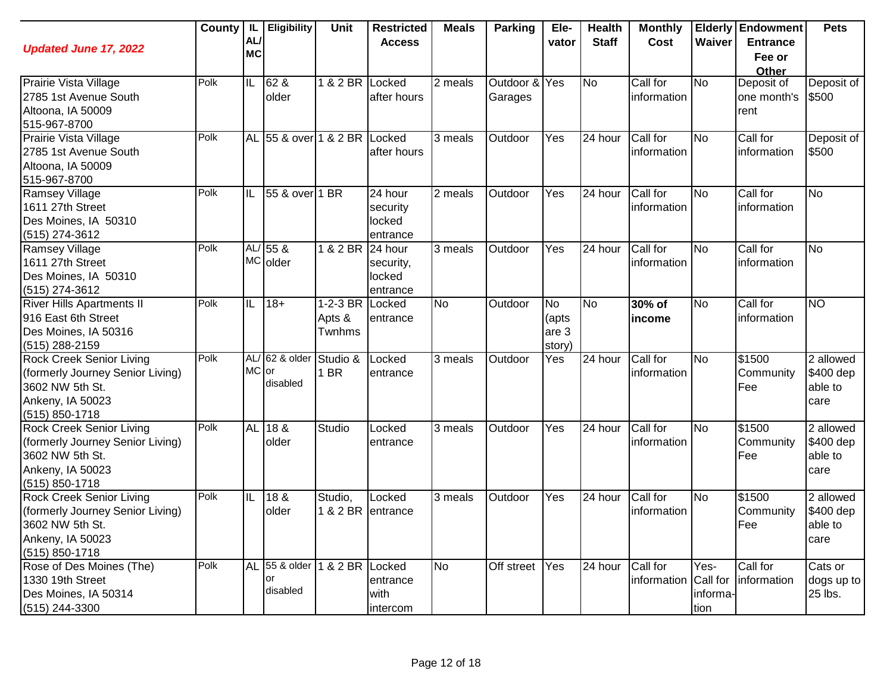| <b>Updated June 17, 2022</b>       | <b>County</b> | IL.<br>AL/<br><b>MC</b> | Eligibility                  | Unit            | <b>Restricted</b><br><b>Access</b> | <b>Meals</b> | <b>Parking</b> | Ele-<br>vator | <b>Health</b><br><b>Staff</b> | <b>Monthly</b><br>Cost | Waiver         | <b>Elderly Endowment</b><br><b>Entrance</b><br>Fee or | <b>Pets</b>    |
|------------------------------------|---------------|-------------------------|------------------------------|-----------------|------------------------------------|--------------|----------------|---------------|-------------------------------|------------------------|----------------|-------------------------------------------------------|----------------|
| Prairie Vista Village              | Polk          | IL                      | 62 &                         | 1 & 2 BR Locked |                                    | 2 meals      | Outdoor & Yes  |               | <b>No</b>                     | Call for               | <b>No</b>      | Other<br>Deposit of                                   | Deposit of     |
| 2785 1st Avenue South              |               |                         | older                        |                 | after hours                        |              | Garages        |               |                               | information            |                | one month's                                           | \$500          |
| Altoona, IA 50009                  |               |                         |                              |                 |                                    |              |                |               |                               |                        |                | rent                                                  |                |
| 515-967-8700                       |               |                         |                              |                 |                                    |              |                |               |                               |                        |                |                                                       |                |
| Prairie Vista Village              | Polk          |                         | AL 55 & over 1 & 2 BR Locked |                 |                                    | 3 meals      | Outdoor        | Yes           | 24 hour                       | Call for               | <b>No</b>      | Call for                                              | Deposit of     |
| 2785 1st Avenue South              |               |                         |                              |                 | after hours                        |              |                |               |                               | information            |                | information                                           | \$500          |
| Altoona, IA 50009                  |               |                         |                              |                 |                                    |              |                |               |                               |                        |                |                                                       |                |
| 515-967-8700                       |               |                         |                              |                 |                                    |              |                |               |                               |                        |                |                                                       |                |
| <b>Ramsey Village</b>              | Polk          | IL                      | 55 & over 1 BR               |                 | 24 hour                            | 2 meals      | Outdoor        | Yes           | 24 hour                       | Call for               | <b>No</b>      | Call for                                              | <b>No</b>      |
| 1611 27th Street                   |               |                         |                              |                 | security                           |              |                |               |                               | information            |                | information                                           |                |
| Des Moines, IA 50310               |               |                         |                              |                 | locked                             |              |                |               |                               |                        |                |                                                       |                |
| $(515)$ 274-3612                   |               |                         |                              |                 | entrance                           |              |                |               |                               |                        |                |                                                       |                |
| <b>Ramsey Village</b>              | Polk          |                         | AL/ 55 &                     | 1 & 2 BR        | 24 hour                            | 3 meals      | Outdoor        | Yes           | 24 hour                       | Call for               | <b>No</b>      | Call for                                              | <b>No</b>      |
| 1611 27th Street                   |               |                         | MC older                     |                 | security,                          |              |                |               |                               | information            |                | linformation                                          |                |
| Des Moines, IA 50310               |               |                         |                              |                 | locked                             |              |                |               |                               |                        |                |                                                       |                |
| (515) 274-3612                     |               |                         |                              |                 | entrance                           |              |                |               |                               |                        |                |                                                       |                |
| <b>River Hills Apartments II</b>   | Polk          | IL                      | $18 +$                       | 1-2-3 BR        | Locked                             | <b>No</b>    | Outdoor        | <b>No</b>     | <b>No</b>                     | 30% of                 | <b>No</b>      | Call for                                              | N <sub>O</sub> |
| 916 East 6th Street                |               |                         |                              | Apts &          | entrance                           |              |                | (apts         |                               | income                 |                | information                                           |                |
| Des Moines, IA 50316               |               |                         |                              | Twnhms          |                                    |              |                | are 3         |                               |                        |                |                                                       |                |
| (515) 288-2159                     |               |                         |                              |                 |                                    |              |                | story)        |                               |                        |                |                                                       |                |
| <b>Rock Creek Senior Living</b>    | Polk          |                         | AL/ 62 & older               | Studio &        | Locked                             | 3 meals      | Outdoor        | Yes           | 24 hour                       | Call for               | <b>No</b>      | \$1500                                                | 2 allowed      |
| (formerly Journey Senior Living)   |               | MC or                   | disabled                     | 1 BR            | entrance                           |              |                |               |                               | information            |                | Community                                             | \$400 dep      |
| 3602 NW 5th St.                    |               |                         |                              |                 |                                    |              |                |               |                               |                        |                | Fee                                                   | able to        |
| Ankeny, IA 50023                   |               |                         |                              |                 |                                    |              |                |               |                               |                        |                |                                                       | care           |
| $(515) 850 - 1718$                 | Polk          |                         |                              |                 |                                    |              |                |               |                               |                        |                |                                                       |                |
| <b>Rock Creek Senior Living</b>    |               | <b>AL</b>               | 188                          | Studio          | Locked                             | 3 meals      | Outdoor        | Yes           | $\overline{2}4$ hour          | Call for               | No             | \$1500                                                | 2 allowed      |
| (formerly Journey Senior Living)   |               |                         | older                        |                 | entrance                           |              |                |               |                               | information            |                | Community                                             | \$400 dep      |
| 3602 NW 5th St.                    |               |                         |                              |                 |                                    |              |                |               |                               |                        |                | Fee                                                   | able to        |
| Ankeny, IA 50023<br>(515) 850-1718 |               |                         |                              |                 |                                    |              |                |               |                               |                        |                |                                                       | care           |
| <b>Rock Creek Senior Living</b>    | Polk          | IL                      | 18 &                         | Studio,         | Locked                             | 3 meals      | Outdoor        | Yes           | 24 hour                       | Call for               | N <sub>o</sub> | $\sqrt{$1500}$                                        | 2 allowed      |
| (formerly Journey Senior Living)   |               |                         | older                        |                 | 1 & 2 BR entrance                  |              |                |               |                               | information            |                | Community                                             | \$400 dep      |
| 3602 NW 5th St.                    |               |                         |                              |                 |                                    |              |                |               |                               |                        |                | Fee                                                   | able to        |
| Ankeny, IA 50023                   |               |                         |                              |                 |                                    |              |                |               |                               |                        |                |                                                       | care           |
| (515) 850-1718                     |               |                         |                              |                 |                                    |              |                |               |                               |                        |                |                                                       |                |
| Rose of Des Moines (The)           | Polk          |                         | AL 55 & older                | 1 & 2 BR Locked |                                    | <b>No</b>    | Off street     | Yes           | 24 hour                       | Call for               | Yes-           | Call for                                              | Cats or        |
| 1330 19th Street                   |               |                         | or                           |                 | entrance                           |              |                |               |                               | information Call for   |                | information                                           | dogs up to     |
| Des Moines, IA 50314               |               |                         | disabled                     |                 | with                               |              |                |               |                               |                        | informa-       |                                                       | 25 lbs.        |
| (515) 244-3300                     |               |                         |                              |                 | intercom                           |              |                |               |                               |                        | tion           |                                                       |                |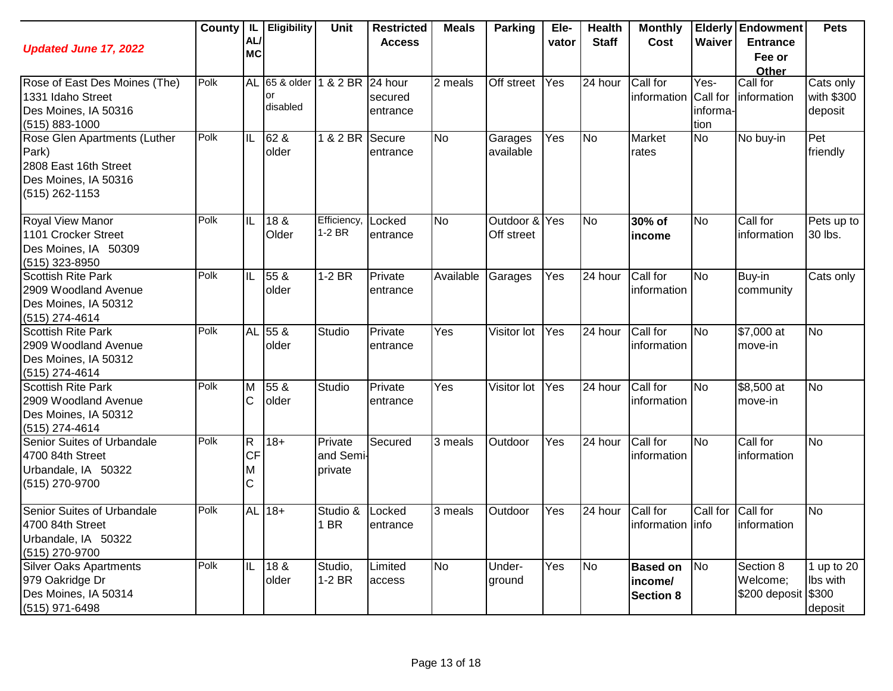| <b>Updated June 17, 2022</b>                                                                               | County | AL/<br><b>MC</b>                                | <b>IL</b> Eligibility           | Unit                            | <b>Restricted</b><br><b>Access</b> | <b>Meals</b> | <b>Parking</b>              | Ele-<br>vator | <b>Health</b><br><b>Staff</b> | <b>Monthly</b><br>Cost                         | Waiver                   | <b>Elderly Endowment</b><br><b>Entrance</b><br>Fee or<br>Other | <b>Pets</b>                         |
|------------------------------------------------------------------------------------------------------------|--------|-------------------------------------------------|---------------------------------|---------------------------------|------------------------------------|--------------|-----------------------------|---------------|-------------------------------|------------------------------------------------|--------------------------|----------------------------------------------------------------|-------------------------------------|
| Rose of East Des Moines (The)<br>1331 Idaho Street<br>Des Moines, IA 50316<br>$(515) 883 - 1000$           | Polk   |                                                 | AL 65 & older<br>or<br>disabled | 1 & 2 BR 24 hour                | secured<br>entrance                | 2 meals      | Off street                  | Yes           | 24 hour                       | Call for<br>information Call for               | Yes-<br>informa-<br>tion | Call for<br>information                                        | Cats only<br>with \$300<br>deposit  |
| Rose Glen Apartments (Luther<br>Park)<br>2808 East 16th Street<br>Des Moines, IA 50316<br>$(515)$ 262-1153 | Polk   | Iil                                             | 62 &<br>older                   | 1 & 2 BR Secure                 | entrance                           | <b>No</b>    | Garages<br>available        | Yes           | <b>No</b>                     | Market<br>rates                                | <b>No</b>                | No buy-in                                                      | Pet<br>friendly                     |
| <b>Royal View Manor</b><br>1101 Crocker Street<br>Des Moines, IA 50309<br>$(515)$ 323-8950                 | Polk   | IL                                              | 18 &<br>Older                   | Efficiency<br>1-2 BR            | Locked<br>entrance                 | <b>No</b>    | Outdoor & Yes<br>Off street |               | <b>No</b>                     | 30% of<br>income                               | <b>No</b>                | Call for<br>information                                        | Pets up to<br>30 lbs.               |
| <b>Scottish Rite Park</b><br>2909 Woodland Avenue<br>Des Moines, IA 50312<br>$(515)$ 274-4614              | Polk   | IL                                              | 55 &<br>older                   | $1-2 BR$                        | Private<br>entrance                | Available    | Garages                     | Yes           | 24 hour                       | Call for<br>information                        | <b>No</b>                | Buy-in<br>community                                            | Cats only                           |
| <b>Scottish Rite Park</b><br>2909 Woodland Avenue<br>Des Moines, IA 50312<br>(515) 274-4614                | Polk   |                                                 | AL 55 &<br>older                | Studio                          | Private<br>entrance                | Yes          | Visitor lot                 | Yes           | 24 hour                       | Call for<br>information                        | <b>No</b>                | \$7,000 at<br>move-in                                          | <b>No</b>                           |
| <b>Scottish Rite Park</b><br>2909 Woodland Avenue<br>Des Moines, IA 50312<br>(515) 274-4614                | Polk   | M<br>C                                          | 55 &<br>older                   | Studio                          | Private<br>entrance                | Yes          | Visitor lot                 | Yes           | 24 hour                       | Call for<br>information                        | <b>No</b>                | \$8,500 at<br>move-in                                          | <b>No</b>                           |
| Senior Suites of Urbandale<br>4700 84th Street<br>Urbandale, IA 50322<br>(515) 270-9700                    | Polk   | $\overline{\mathsf{R}}$<br><b>CF</b><br>ΙM<br>C | $18 +$                          | Private<br>and Semi-<br>private | Secured                            | 3 meals      | Outdoor                     | Yes           | 24 hour                       | Call for<br>information                        | No                       | Call for<br>information                                        | <b>No</b>                           |
| Senior Suites of Urbandale<br>4700 84th Street<br>Urbandale, IA 50322<br>(515) 270-9700                    | Polk   |                                                 | AL 18+                          | Studio &<br>1 BR                | Locked<br>entrance                 | 3 meals      | Outdoor                     | Yes           | 24 hour                       | Call for<br>information linfo                  | Call for                 | Call for<br>information                                        | <b>No</b>                           |
| <b>Silver Oaks Apartments</b><br>979 Oakridge Dr<br>Des Moines, IA 50314<br>(515) 971-6498                 | Polk   | IIL                                             | 18 &<br>older                   | Studio,<br>$1-2$ BR             | Limited<br>access                  | <b>No</b>    | Under-<br>ground            | Yes           | <b>No</b>                     | <b>Based on</b><br>income/<br><b>Section 8</b> | No                       | Section 8<br>Welcome;<br>\$200 deposit \$300                   | 1 up to $20$<br>Ibs with<br>deposit |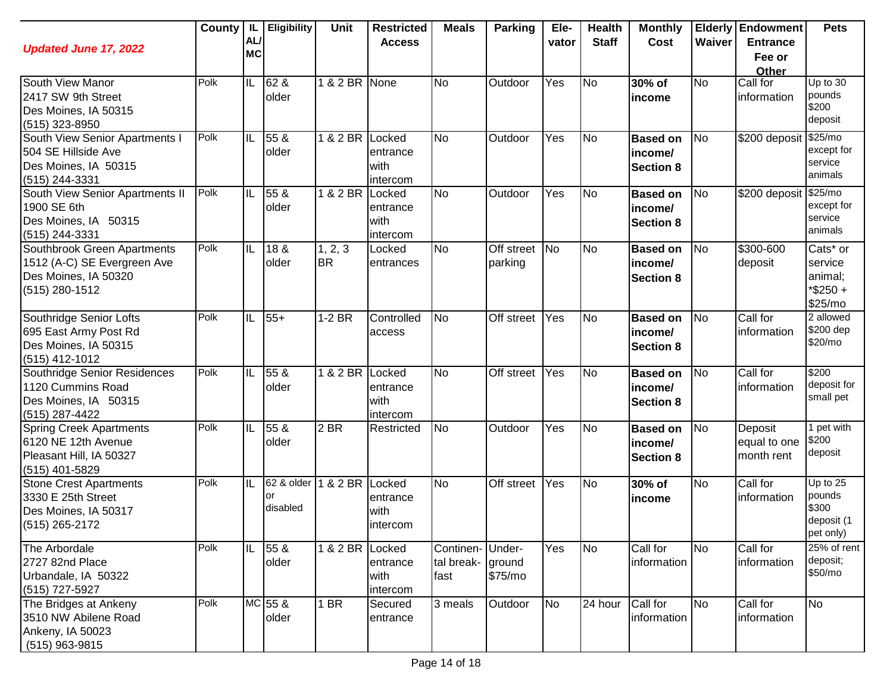| <b>Updated June 17, 2022</b>                                                                           | County | IL.<br><b>AL</b><br><b>MC</b> | <b>Eligibility</b>           | <b>Unit</b>          | <b>Restricted</b><br><b>Access</b>     | <b>Meals</b>                                 | Parking                  | Ele-<br>vator | <b>Health</b><br><b>Staff</b> | <b>Monthly</b><br>Cost                         | Waiver         | <b>Elderly Endowment</b><br><b>Entrance</b> | <b>Pets</b>                                            |
|--------------------------------------------------------------------------------------------------------|--------|-------------------------------|------------------------------|----------------------|----------------------------------------|----------------------------------------------|--------------------------|---------------|-------------------------------|------------------------------------------------|----------------|---------------------------------------------|--------------------------------------------------------|
|                                                                                                        |        |                               |                              |                      |                                        |                                              |                          |               |                               |                                                |                | Fee or<br>Other                             |                                                        |
| South View Manor<br>2417 SW 9th Street<br>Des Moines, IA 50315<br>(515) 323-8950                       | Polk   | $\overline{\mathbb{L}}$       | 62 &<br>older                | 1 & 2 BR None        |                                        | <b>No</b>                                    | Outdoor                  | Yes           | <b>No</b>                     | 30% of<br>income                               | <b>No</b>      | Call for<br>information                     | Up to $30$<br>pounds<br>\$200<br>deposit               |
| South View Senior Apartments I<br>504 SE Hillside Ave<br>Des Moines, IA 50315<br>(515) 244-3331        | Polk   | IL                            | 55 &<br>older                | 1 & 2 BR Locked      | entrance<br>with<br>intercom           | <b>No</b>                                    | Outdoor                  | Yes           | <b>No</b>                     | <b>Based on</b><br>income/<br><b>Section 8</b> | N <sub>o</sub> | \$200 deposit                               | \$25/mo<br>except for<br>service<br>animals            |
| South View Senior Apartments II<br>1900 SE 6th<br>Des Moines, IA 50315<br>(515) 244-3331               | Polk   | IL                            | 55 <sub>8</sub><br>older     | 1 & 2 BR             | Locked<br>entrance<br>with<br>intercom | <b>No</b>                                    | Outdoor                  | Yes           | <b>No</b>                     | <b>Based on</b><br>income/<br><b>Section 8</b> | <b>No</b>      | \$200 deposit \$25/mo                       | except for<br>service<br>animals                       |
| Southbrook Green Apartments<br>1512 (A-C) SE Evergreen Ave<br>Des Moines, IA 50320<br>$(515)$ 280-1512 | Polk   | IL                            | 18 <sub>8</sub><br>older     | 1, 2, 3<br><b>BR</b> | Locked<br>entrances                    | <b>No</b>                                    | Off street No<br>parking |               | <b>No</b>                     | <b>Based on</b><br>income/<br><b>Section 8</b> | <b>No</b>      | \$300-600<br>deposit                        | Cats* or<br>service<br>animal;<br>*\$250+<br>\$25/mo   |
| Southridge Senior Lofts<br>695 East Army Post Rd<br>Des Moines, IA 50315<br>$(515)$ 412-1012           | Polk   | IL                            | $55+$                        | $1-2$ BR             | Controlled<br>access                   | N <sub>o</sub>                               | Off street               | Yes           | N <sub>o</sub>                | <b>Based on</b><br>income/<br><b>Section 8</b> | N <sub>o</sub> | Call for<br>information                     | 2 allowed<br>\$200 dep<br>\$20/mo                      |
| Southridge Senior Residences<br>1120 Cummins Road<br>Des Moines, IA 50315<br>(515) 287-4422            | Polk   | IL                            | 55 &<br>older                | 1 & 2 BR             | Locked<br>entrance<br>with<br>intercom | <b>No</b>                                    | <b>Off street</b>        | Yes           | N <sub>o</sub>                | <b>Based on</b><br>income/<br><b>Section 8</b> | N <sub>o</sub> | Call for<br>information                     | \$200<br>deposit for<br>small pet                      |
| <b>Spring Creek Apartments</b><br>6120 NE 12th Avenue<br>Pleasant Hill, IA 50327<br>(515) 401-5829     | Polk   | IL                            | 55 <sub>8</sub><br>older     | $2$ BR               | Restricted                             | No                                           | Outdoor                  | Yes           | <b>No</b>                     | <b>Based on</b><br>income/<br><b>Section 8</b> | <b>No</b>      | Deposit<br>equal to one<br>month rent       | 1 pet with<br>\$200<br>deposit                         |
| <b>Stone Crest Apartments</b><br>3330 E 25th Street<br>Des Moines, IA 50317<br>$(515)$ 265-2172        | Polk   | IIL                           | 62 & older<br>or<br>disabled | 1 & 2 BR Locked      | entrance<br>with<br>intercom           | N <sub>o</sub>                               | Off street               | Yes           | <b>No</b>                     | 30% of<br>income                               | <b>No</b>      | Call for<br>information                     | Up to 25<br>pounds<br>\$300<br>deposit (1<br>pet only) |
| The Arbordale<br>2727 82nd Place<br>Urbandale, IA 50322<br>(515) 727-5927                              | Polk   | IIL                           | 55 &<br>older                | 1 & 2 BR Locked      | entrance<br>with<br>intercom           | Continen-Under-<br>tal break- ground<br>fast | \$75/mo                  | Yes           | N <sub>o</sub>                | Call for<br>information                        | <b>No</b>      | Call for<br>information                     | 25% of rent<br>deposit;<br>\$50/mo                     |
| The Bridges at Ankeny<br>3510 NW Abilene Road<br>Ankeny, IA 50023<br>(515) 963-9815                    | Polk   |                               | MC 55 &<br>older             | 1 BR                 | Secured<br>entrance                    | 3 meals                                      | Outdoor                  | <b>No</b>     | $\overline{24}$ hour          | Call for<br>information                        | <b>No</b>      | Call for<br>information                     | No                                                     |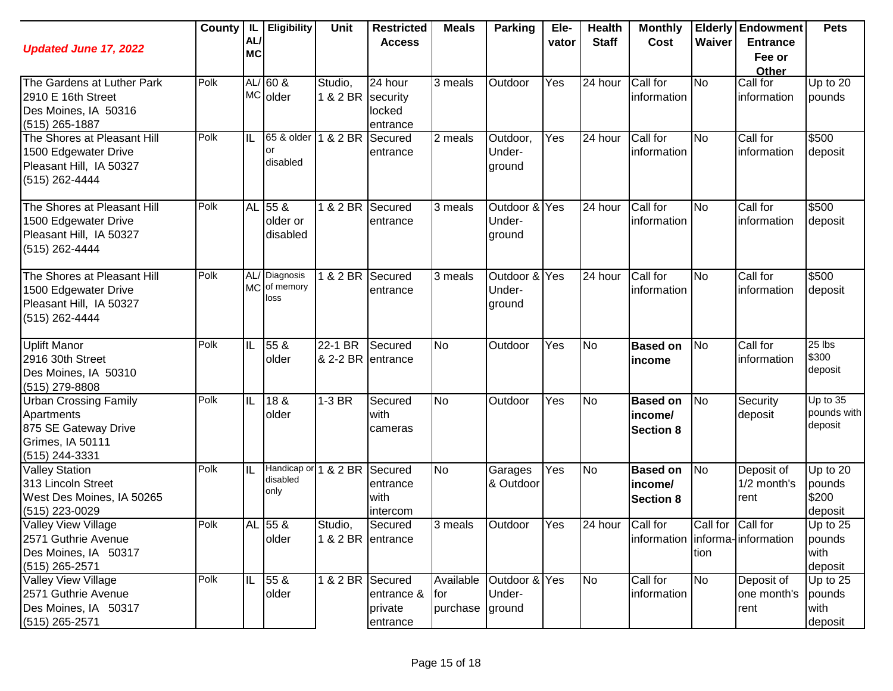| <b>Updated June 17, 2022</b>                    | County | AL/<br><b>MC</b> | IL Eligibility       | Unit              | <b>Restricted</b><br><b>Access</b> | <b>Meals</b>     | <b>Parking</b>          | Ele-<br>vator | <b>Health</b><br><b>Staff</b> | <b>Monthly</b><br>Cost          | Waiver            | <b>Elderly Endowment</b><br><b>Entrance</b><br>Fee or | <b>Pets</b>        |
|-------------------------------------------------|--------|------------------|----------------------|-------------------|------------------------------------|------------------|-------------------------|---------------|-------------------------------|---------------------------------|-------------------|-------------------------------------------------------|--------------------|
|                                                 |        |                  |                      |                   |                                    |                  |                         |               |                               |                                 |                   | Other                                                 |                    |
| The Gardens at Luther Park                      | Polk   |                  | $AL/60$ &            | Studio,           | 24 hour                            | 3 meals          | Outdoor                 | Yes           | 24 hour                       | Call for                        | <b>No</b>         | Call for                                              | Up to 20           |
| 2910 E 16th Street                              |        |                  | MC older             | 1 & 2 BR security |                                    |                  |                         |               |                               | information                     |                   | information                                           | pounds             |
| Des Moines, IA 50316                            |        |                  |                      |                   | locked                             |                  |                         |               |                               |                                 |                   |                                                       |                    |
| $(515)$ 265-1887<br>The Shores at Pleasant Hill | Polk   | IL               | 65 & older           | 1 & 2 BR          | entrance<br>Secured                | 2 meals          | Outdoor,                | Yes           | 24 hour                       | Call for                        | <b>No</b>         | Call for                                              | \$500              |
| 1500 Edgewater Drive                            |        |                  | or                   |                   | entrance                           |                  | Under-                  |               |                               | information                     |                   | information                                           | deposit            |
| Pleasant Hill, IA 50327                         |        |                  | disabled             |                   |                                    |                  | ground                  |               |                               |                                 |                   |                                                       |                    |
| (515) 262-4444                                  |        |                  |                      |                   |                                    |                  |                         |               |                               |                                 |                   |                                                       |                    |
| The Shores at Pleasant Hill                     | Polk   |                  | AL 55 &              | 1 & 2 BR          | Secured                            | 3 meals          | Outdoor &               | Yes           | 24 hour                       | Call for                        | <b>No</b>         | Call for                                              | \$500              |
| 1500 Edgewater Drive                            |        |                  | older or             |                   | entrance                           |                  | Under-                  |               |                               | information                     |                   | information                                           | deposit            |
| Pleasant Hill, IA 50327                         |        |                  | disabled             |                   |                                    |                  | ground                  |               |                               |                                 |                   |                                                       |                    |
| (515) 262-4444                                  |        |                  |                      |                   |                                    |                  |                         |               |                               |                                 |                   |                                                       |                    |
| The Shores at Pleasant Hill                     | Polk   |                  | AL/ Diagnosis        | 1 & 2 BR          | Secured                            | 3 meals          | Outdoor & Yes           |               | 24 hour                       | Call for                        | <b>No</b>         | Call for                                              | \$500              |
| 1500 Edgewater Drive                            |        |                  | MC of memory<br>loss |                   | entrance                           |                  | Under-                  |               |                               | information                     |                   | information                                           | deposit            |
| Pleasant Hill, IA 50327                         |        |                  |                      |                   |                                    |                  | ground                  |               |                               |                                 |                   |                                                       |                    |
| (515) 262-4444                                  |        |                  |                      |                   |                                    |                  |                         |               |                               |                                 |                   |                                                       |                    |
| <b>Uplift Manor</b>                             | Polk   | IL               | 55 &                 | 22-1 BR           | Secured                            | <b>No</b>        | Outdoor                 | Yes           | <b>No</b>                     | <b>Based on</b>                 | <b>No</b>         | Call for                                              | $25$ lbs           |
| 2916 30th Street                                |        |                  | older                | & 2-2 BR entrance |                                    |                  |                         |               |                               | income                          |                   | information                                           | \$300              |
| Des Moines, IA 50310                            |        |                  |                      |                   |                                    |                  |                         |               |                               |                                 |                   |                                                       | deposit            |
| (515) 279-8808                                  | Polk   |                  | 18 &                 | $1-3$ BR          |                                    | <b>No</b>        | Outdoor                 |               |                               |                                 |                   |                                                       | $Up$ to $35$       |
| <b>Urban Crossing Family</b><br>Apartments      |        | IL               | older                |                   | Secured<br>with                    |                  |                         | Yes           | <b>No</b>                     | <b>Based on</b>                 | <b>No</b>         | Security                                              | pounds with        |
| 875 SE Gateway Drive                            |        |                  |                      |                   | cameras                            |                  |                         |               |                               | income/<br><b>Section 8</b>     |                   | deposit                                               | deposit            |
| Grimes, IA 50111                                |        |                  |                      |                   |                                    |                  |                         |               |                               |                                 |                   |                                                       |                    |
| (515) 244-3331                                  |        |                  |                      |                   |                                    |                  |                         |               |                               |                                 |                   |                                                       |                    |
| <b>Valley Station</b>                           | Polk   | IL               | Handicap or 1 & 2 BR |                   | Secured                            | <b>No</b>        | Garages                 | Yes           | <b>No</b>                     | <b>Based on</b>                 | N <sub>o</sub>    | Deposit of                                            | Up to 20           |
| 313 Lincoln Street                              |        |                  | disabled             |                   | entrance                           |                  | & Outdoor               |               |                               | income/                         |                   | 1/2 month's                                           | pounds             |
| West Des Moines, IA 50265                       |        |                  | only                 |                   | with                               |                  |                         |               |                               | <b>Section 8</b>                |                   | rent                                                  | \$200              |
| (515) 223-0029                                  |        |                  |                      |                   | intercom                           |                  |                         |               |                               |                                 |                   |                                                       | deposit            |
| <b>Valley View Village</b>                      | Polk   |                  | AL 55 &              | Studio,           | Secured                            | 3 meals          | <b>Outdoor</b>          | Yes           | 24 hour Call for              |                                 | Call for Call for |                                                       | Up to 25           |
| 2571 Guthrie Avenue                             |        |                  | older                | 1 & 2 BR entrance |                                    |                  |                         |               |                               | information informa-information |                   |                                                       | pounds             |
| Des Moines, IA 50317                            |        |                  |                      |                   |                                    |                  |                         |               |                               |                                 | tion              |                                                       | with               |
| $(515)$ 265-2571                                | Polk   |                  |                      |                   |                                    |                  |                         |               |                               |                                 |                   |                                                       | deposit            |
| Valley View Village<br>2571 Guthrie Avenue      |        | IIL              | 55 &<br>older        | 1 & 2 BR Secured  | entrance &                         | Available<br>for | Outdoor & Yes<br>Under- |               | N <sub>o</sub>                | Call for<br>information         | <b>No</b>         | Deposit of<br>one month's                             | Up to 25<br>pounds |
| Des Moines, IA 50317                            |        |                  |                      |                   | private                            | purchase         | ground                  |               |                               |                                 |                   | rent                                                  | with               |
| $(515)$ 265-2571                                |        |                  |                      |                   | entrance                           |                  |                         |               |                               |                                 |                   |                                                       | deposit            |
|                                                 |        |                  |                      |                   |                                    |                  |                         |               |                               |                                 |                   |                                                       |                    |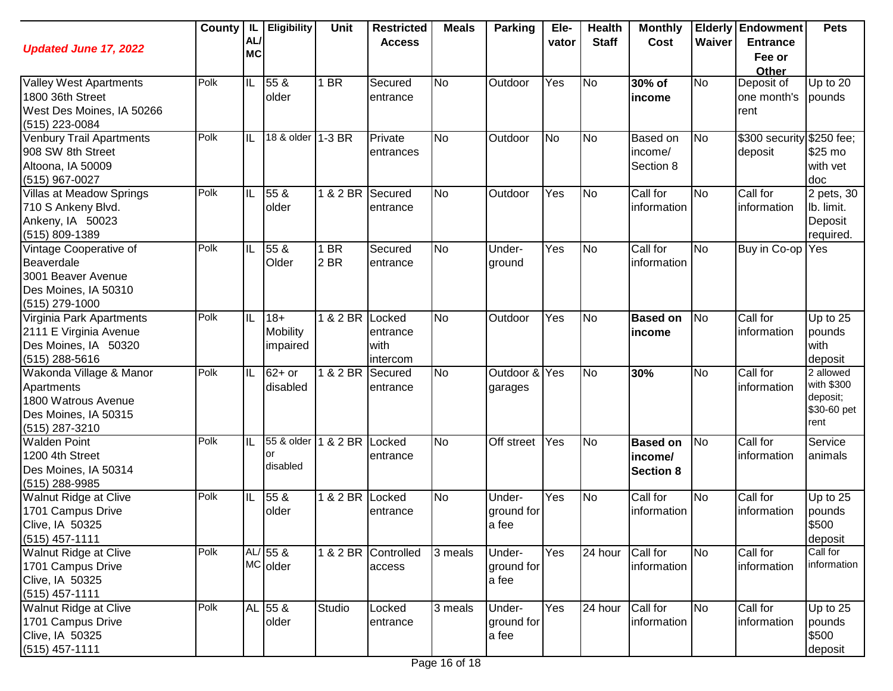| <b>Updated June 17, 2022</b>                                                                           |      | AL<br><b>MC</b> | County   IL   Eligibility            | Unit            | <b>Restricted</b><br><b>Access</b>     | <b>Meals</b> | <b>Parking</b>                | Ele-<br>vator | <b>Health</b><br><b>Staff</b> | <b>Monthly</b><br>Cost                         | Waiver         | <b>Elderly Endowment</b><br><b>Entrance</b><br>Fee or | <b>Pets</b>                                                |
|--------------------------------------------------------------------------------------------------------|------|-----------------|--------------------------------------|-----------------|----------------------------------------|--------------|-------------------------------|---------------|-------------------------------|------------------------------------------------|----------------|-------------------------------------------------------|------------------------------------------------------------|
|                                                                                                        |      |                 |                                      |                 |                                        |              |                               |               |                               |                                                |                | Other                                                 |                                                            |
| <b>Valley West Apartments</b><br>1800 36th Street<br>West Des Moines, IA 50266<br>(515) 223-0084       | Polk | IL              | 55 &<br>older                        | 1 BR            | Secured<br>entrance                    | <b>No</b>    | Outdoor                       | Yes           | No                            | 30% of<br>income                               | <b>No</b>      | Deposit of<br>one month's<br>rent                     | Up to 20<br>pounds                                         |
| <b>Venbury Trail Apartments</b><br>908 SW 8th Street<br>Altoona, IA 50009<br>(515) 967-0027            | Polk | IL              | 18 & older 1-3 BR                    |                 | Private<br>entrances                   | <b>No</b>    | Outdoor                       | <b>No</b>     | <b>No</b>                     | Based on<br>income/<br>Section 8               | No             | \$300 security \$250 fee;<br>deposit                  | \$25 mo<br>with vet<br>doc                                 |
| Villas at Meadow Springs<br>710 S Ankeny Blvd.<br>Ankeny, IA 50023<br>(515) 809-1389                   | Polk | IIL             | 55 &<br>older                        | 1 & 2 BR        | Secured<br>entrance                    | <b>No</b>    | Outdoor                       | Yes           | No                            | Call for<br>information                        | <b>No</b>      | Call for<br>information                               | 2 pets, 30<br>lb. limit.<br>Deposit<br>required.           |
| Vintage Cooperative of<br>Beaverdale<br>3001 Beaver Avenue<br>Des Moines, IA 50310<br>(515) 279-1000   | Polk | IL              | 55 &<br>Older                        | 1 BR<br>2 BR    | Secured<br>entrance                    | <b>No</b>    | Under-<br>ground              | Yes           | No                            | Call for<br>information                        | <b>No</b>      | Buy in Co-op                                          | Yes                                                        |
| Virginia Park Apartments<br>2111 E Virginia Avenue<br>Des Moines, IA 50320<br>$(515)$ 288-5616         | Polk | IL              | $18+$<br><b>Mobility</b><br>impaired | $1 & 2$ BR      | Locked<br>entrance<br>with<br>intercom | <b>No</b>    | Outdoor                       | Yes           | No                            | <b>Based on</b><br>income                      | No             | Call for<br>information                               | Up to $25$<br>pounds<br>with<br>deposit                    |
| Wakonda Village & Manor<br>Apartments<br>1800 Watrous Avenue<br>Des Moines, IA 50315<br>(515) 287-3210 | Polk | IIL             | $62+$ or<br>disabled                 | 1 & 2 BR        | Secured<br>entrance                    | <b>No</b>    | Outdoor &<br>garages          | Yes           | No                            | 30%                                            | No             | Call for<br>information                               | 2 allowed<br>with \$300<br>deposit;<br>\$30-60 pet<br>rent |
| <b>Walden Point</b><br>1200 4th Street<br>Des Moines, IA 50314<br>(515) 288-9985                       | Polk | IL              | 55 & older<br>or<br>disabled         | 1 & 2 BR Locked | entrance                               | <b>No</b>    | Off street                    | Yes           | No                            | <b>Based on</b><br>income/<br><b>Section 8</b> | N <sub>o</sub> | Call for<br>information                               | Service<br>animals                                         |
| <b>Walnut Ridge at Clive</b><br>1701 Campus Drive<br>Clive, IA 50325<br>$(515)$ 457-1111               | Polk | IIL             | 55 &<br>older                        | 1 & 2 BR Locked | entrance                               | <b>No</b>    | Under-<br>ground for<br>a fee | Yes           | No                            | Call for<br>information                        | No             | Call for<br>information                               | Up to $25$<br>pounds<br>\$500<br>deposit                   |
| Walnut Ridge at Clive<br>1701 Campus Drive<br>Clive, IA 50325<br>$(515)$ 457-1111                      | Polk |                 | $AL/55$ &<br>MC older                |                 | 1 & 2 BR Controlled<br>access          | 3 meals      | Under-<br>ground for<br>a fee | Yes           | 24 hour                       | Call for<br>information                        | <b>No</b>      | Call for<br>information                               | Call for<br>information                                    |
| Walnut Ridge at Clive<br>1701 Campus Drive<br>Clive, IA 50325<br>$(515)$ 457-1111                      | Polk |                 | AL 55 &<br>older                     | Studio          | Locked<br>entrance                     | 3 meals      | Under-<br>ground for<br>a fee | Yes           | 24 hour                       | Call for<br>information                        | No             | Call for<br>information                               | Up to $25$<br>pounds<br>\$500<br>deposit                   |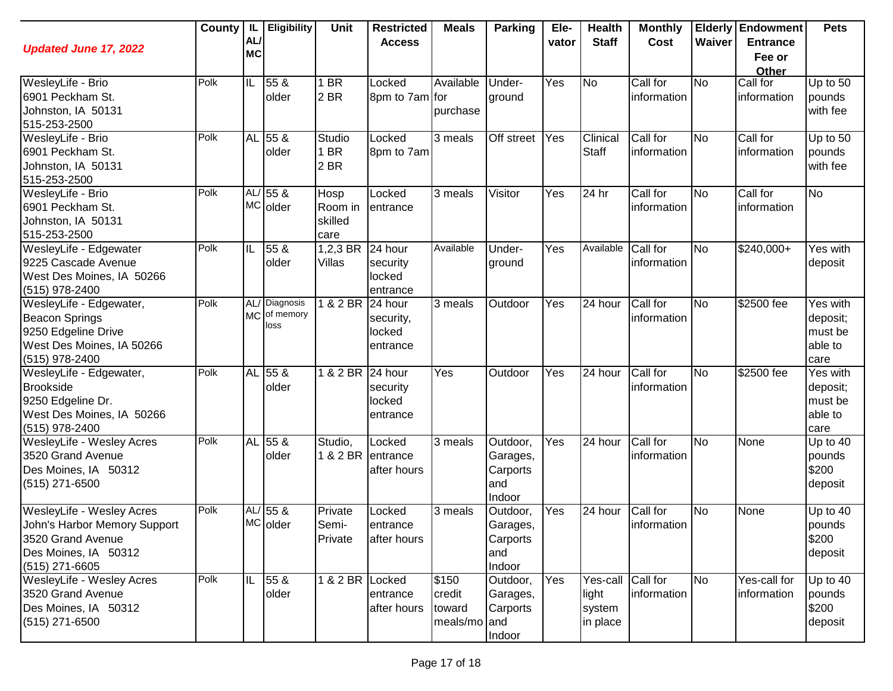| <b>Updated June 17, 2022</b>                                                                                             | County | IL.<br>AL/<br><b>MC</b> | <b>Eligibility</b>                 | Unit                               | <b>Restricted</b><br><b>Access</b>         | <b>Meals</b>                              | <b>Parking</b>                                    | Ele-<br>vator | <b>Health</b><br><b>Staff</b>           | <b>Monthly</b><br>Cost  | Waiver    | <b>Elderly Endowment</b><br><b>Entrance</b><br>Fee or<br>Other | <b>Pets</b>                                        |
|--------------------------------------------------------------------------------------------------------------------------|--------|-------------------------|------------------------------------|------------------------------------|--------------------------------------------|-------------------------------------------|---------------------------------------------------|---------------|-----------------------------------------|-------------------------|-----------|----------------------------------------------------------------|----------------------------------------------------|
| WesleyLife - Brio<br>6901 Peckham St.<br>Johnston, IA 50131<br>515-253-2500                                              | Polk   | IL                      | 55 &<br>older                      | 1 BR<br>2 <sub>BR</sub>            | Locked<br>8pm to 7am for                   | Available<br>purchase                     | Under-<br>ground                                  | Yes           | <b>No</b>                               | Call for<br>information | No        | Call for<br>information                                        | Up to 50<br>pounds<br>with fee                     |
| WesleyLife - Brio<br>6901 Peckham St.<br>Johnston, IA 50131<br>515-253-2500                                              | Polk   |                         | AL 55 &<br>older                   | Studio<br>1 BR<br>2 BR             | Locked<br>8pm to 7am                       | 3 meals                                   | Off street                                        | Yes           | Clinical<br><b>Staff</b>                | Call for<br>information | No        | Call for<br>information                                        | Up to 50<br>pounds<br>with fee                     |
| WesleyLife - Brio<br>6901 Peckham St.<br>Johnston, IA 50131<br>515-253-2500                                              | Polk   |                         | $AL/55$ &<br><b>MC</b> older       | Hosp<br>Room in<br>skilled<br>care | Locked<br>entrance                         | 3 meals                                   | Visitor                                           | Yes           | 24 hr                                   | Call for<br>information | <b>No</b> | Call for<br>information                                        | <b>No</b>                                          |
| WesleyLife - Edgewater<br>9225 Cascade Avenue<br>West Des Moines, IA 50266<br>(515) 978-2400                             | Polk   | IL                      | 55 &<br>older                      | 1,2,3 BR<br>Villas                 | 24 hour<br>security<br>locked<br>entrance  | Available                                 | Under-<br>ground                                  | Yes           | Available                               | Call for<br>information | <b>No</b> | \$240,000+                                                     | Yes with<br>deposit                                |
| WesleyLife - Edgewater,<br><b>Beacon Springs</b><br>9250 Edgeline Drive<br>West Des Moines, IA 50266<br>(515) 978-2400   | Polk   | <b>MC</b>               | AL/ Diagnosis<br>of memory<br>loss | 1 & 2 BR                           | 24 hour<br>security,<br>locked<br>entrance | 3 meals                                   | Outdoor                                           | Yes           | 24 hour                                 | Call for<br>information | <b>No</b> | \$2500 fee                                                     | Yes with<br>deposit;<br>must be<br>able to<br>care |
| WesleyLife - Edgewater,<br><b>Brookside</b><br>9250 Edgeline Dr.<br>West Des Moines, IA 50266<br>(515) 978-2400          | Polk   | AL                      | 55 <sub>8</sub><br>older           | 1 & 2 BR 24 hour                   | security<br>locked<br>entrance             | Yes                                       | Outdoor                                           | Yes           | 24 hour                                 | Call for<br>information | No        | \$2500 fee                                                     | Yes with<br>deposit;<br>must be<br>able to<br>care |
| WesleyLife - Wesley Acres<br>3520 Grand Avenue<br>Des Moines, IA 50312<br>(515) 271-6500                                 | Polk   | AL                      | $55\ \&$<br>older                  | Studio,                            | Locked<br>1 & 2 BR entrance<br>after hours | 3 meals                                   | Outdoor,<br>Garages,<br>Carports<br>and<br>Indoor | Yes           | 24 hour                                 | Call for<br>information | No        | None                                                           | Up to 40<br>pounds<br>\$200<br>deposit             |
| WesleyLife - Wesley Acres<br>John's Harbor Memory Support<br>3520 Grand Avenue<br>Des Moines, IA 50312<br>(515) 271-6605 | Polk   | AL/                     | 55 &<br>MC older                   | Private<br>Semi-<br>Private        | Locked<br>entrance<br>after hours          | 3 meals                                   | Outdoor,<br>Garages,<br>Carports<br>and<br>Indoor | Yes           | 24 hour                                 | Call for<br>information | No        | None                                                           | Up to 40<br>pounds<br>\$200<br>deposit             |
| <b>WesleyLife - Wesley Acres</b><br>3520 Grand Avenue<br>Des Moines, IA 50312<br>(515) 271-6500                          | Polk   | IL                      | 55 &<br>older                      | 1 & 2 BR Locked                    | entrance<br>after hours                    | \$150<br>credit<br>toward<br>meals/mo and | Outdoor,<br>Garages,<br>Carports<br>Indoor        | Yes           | Yes-call<br>light<br>system<br>in place | Call for<br>information | <b>No</b> | Yes-call for<br>information                                    | Up to 40<br>pounds<br>\$200<br>deposit             |